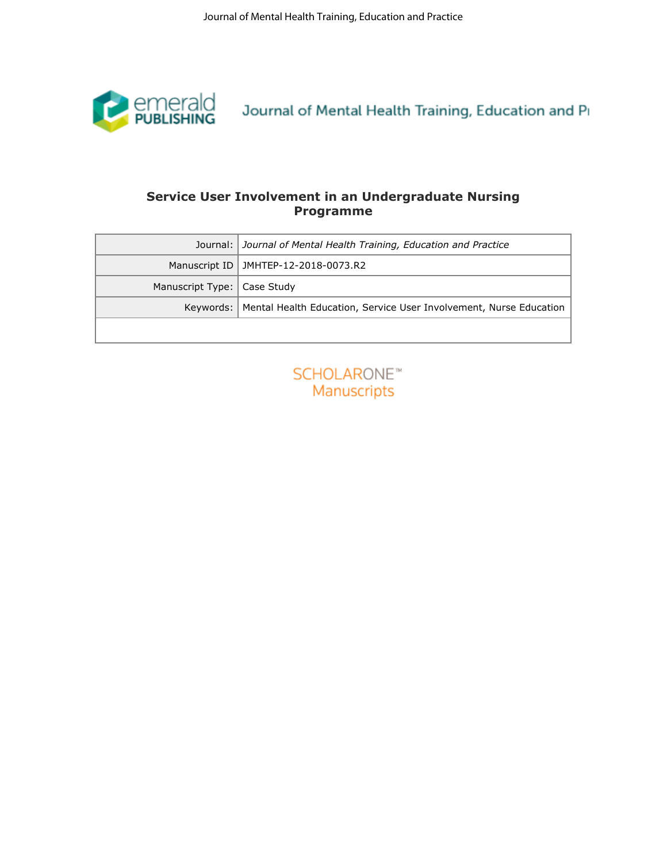

# **Programme**

| Service User Involvement in an Undergraduate Nursing<br><b>Programme</b><br>Journal of Mental Health Training, Education and Practice<br>Journal:<br>Manuscript ID<br>JMHTEP-12-2018-0073.R2<br>Manuscript Type:<br>Case Study<br><b>SCHOLARONE™</b><br>Manuscripts |  |
|---------------------------------------------------------------------------------------------------------------------------------------------------------------------------------------------------------------------------------------------------------------------|--|
|                                                                                                                                                                                                                                                                     |  |
|                                                                                                                                                                                                                                                                     |  |
|                                                                                                                                                                                                                                                                     |  |
| Keywords:   Mental Health Education, Service User Involvement, Nurse Education                                                                                                                                                                                      |  |
|                                                                                                                                                                                                                                                                     |  |
|                                                                                                                                                                                                                                                                     |  |

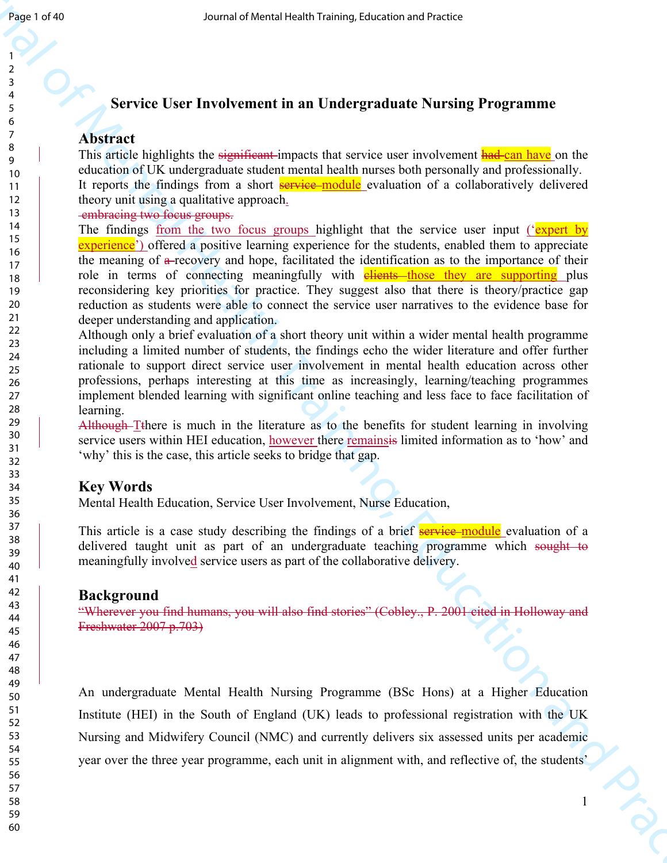# **Service User Involvement in an Undergraduate Nursing Programme**

## **Abstract**

This article highlights the significant-impacts that service user involvement had-can have on the education of UK undergraduate student mental health nurses both personally and professionally. It reports the findings from a short **service**-module evaluation of a collaboratively delivered theory unit using a qualitative approach.

embracing two focus groups.

Sensite of Mental Health Training, the metal of Mental Health Training Programmine<br>
2. Service User Involvement in a Undergraduate Nursing Programmine<br>
2. Abstract is designed as equivalent inspect for service user is one The findings from the two focus groups highlight that the service user input ('expert by experience') offered a positive learning experience for the students, enabled them to appreciate the meaning of a recovery and hope, facilitated the identification as to the importance of their role in terms of connecting meaningfully with **elients** those they are supporting plus reconsidering key priorities for practice. They suggest also that there is theory/practice gap reduction as students were able to connect the service user narratives to the evidence base for deeper understanding and application.

Although only a brief evaluation of a short theory unit within a wider mental health programme including a limited number of students, the findings echo the wider literature and offer further rationale to support direct service user involvement in mental health education across other professions, perhaps interesting at this time as increasingly, learning/teaching programmes implement blended learning with significant online teaching and less face to face facilitation of learning.

Although–Tthere is much in the literature as to the benefits for student learning in involving service users within HEI education, however there remainsis limited information as to 'how' and 'why' this is the case, this article seeks to bridge that gap.

## **Key Words**

Mental Health Education, Service User Involvement, Nurse Education,

This article is a case study describing the findings of a brief service module evaluation of a delivered taught unit as part of an undergraduate teaching programme which sought to meaningfully involved service users as part of the collaborative delivery.

## **Background**

"Wherever you find humans, you will also find stories" (Cobley., P. 2001 cited in Holloway and Freshwater 2007 p.703)

An undergraduate Mental Health Nursing Programme (BSc Hons) at a Higher Education Institute (HEI) in the South of England (UK) leads to professional registration with the UK Nursing and Midwifery Council (NMC) and currently delivers six assessed units per academic year over the three year programme, each unit in alignment with, and reflective of, the students'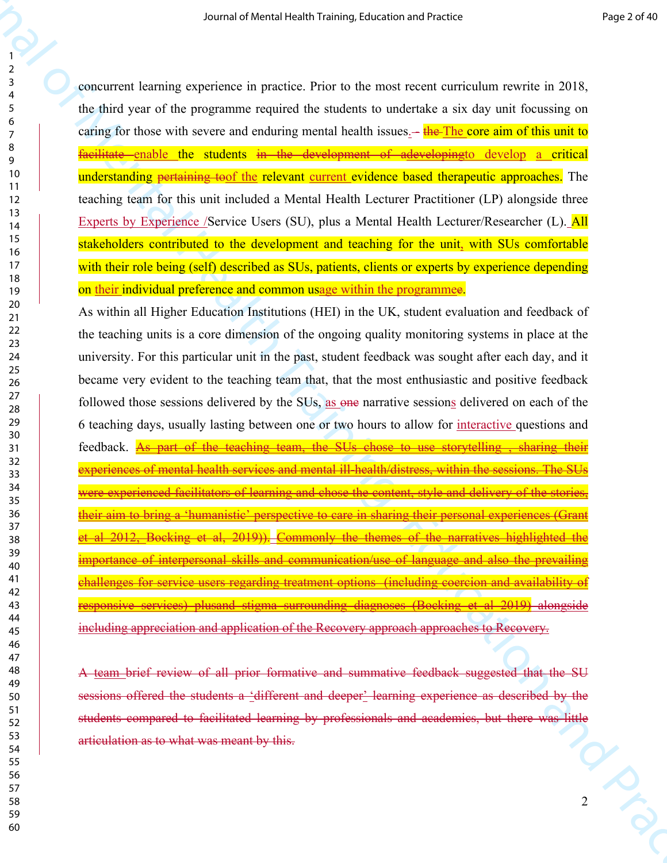concurrent learning experience in practice. Prior to the most recent curriculum rewrite in 2018, the third year of the programme required the students to undertake a six day unit focussing on caring for those with severe and enduring mental health issues.— the The core aim of this unit to facilitate enable the students in the development of adevelopingto develop a critical understanding pertaining toof the relevant current evidence based therapeutic approaches. The teaching team for this unit included a Mental Health Lecturer Practitioner (LP) alongside three Experts by Experience /Service Users (SU), plus a Mental Health Lecturer/Researcher (L). All stakeholders contributed to the development and teaching for the unit, with SUs comfortable with their role being (self) described as SUs, patients, clients or experts by experience depending on their individual preference and common usage within the programmee.

So an arbeted signing taxonical reaction and reaction and reaction and reaction and reaction and reaction and reaction and reaction and reaction and reaction and reaction and reaction and reaction and reaction and reactio As within all Higher Education Institutions (HEI) in the UK, student evaluation and feedback of the teaching units is a core dimension of the ongoing quality monitoring systems in place at the university. For this particular unit in the past, student feedback was sought after each day, and it became very evident to the teaching team that, that the most enthusiastic and positive feedback followed those sessions delivered by the SUs, as one narrative sessions delivered on each of the 6 teaching days, usually lasting between one or two hours to allow for interactive questions and feedback. As part of the teaching team, the SUs chose to use storytelling , sharing their experiences of mental health services and mental ill-health/distress, within the sessions. The SUs were experienced facilitators of learning and chose the content, style and delivery of the stories, their aim to bring a 'humanistic' perspective to care in sharing their personal experiences (Grant et al 2012, Bocking et al, 2019)). Commonly the themes of the narratives highlighted the importance of interpersonal skills and communication/use of language and also the prevailing challenges for service users regarding treatment options (including coercion and availability of responsive services) plusand stigma surrounding diagnoses (Bocking et al 2019) alongside including appreciation and application of the Recovery approach approaches to Recovery.

 $\frac{1}{2}$ A team brief review of all prior formative and summative feedback suggested that the SU sessions offered the students a 'different and deeper' learning experience as described by the students compared to facilitated learning by professionals and academics, but there was little articulation as to what was meant by this.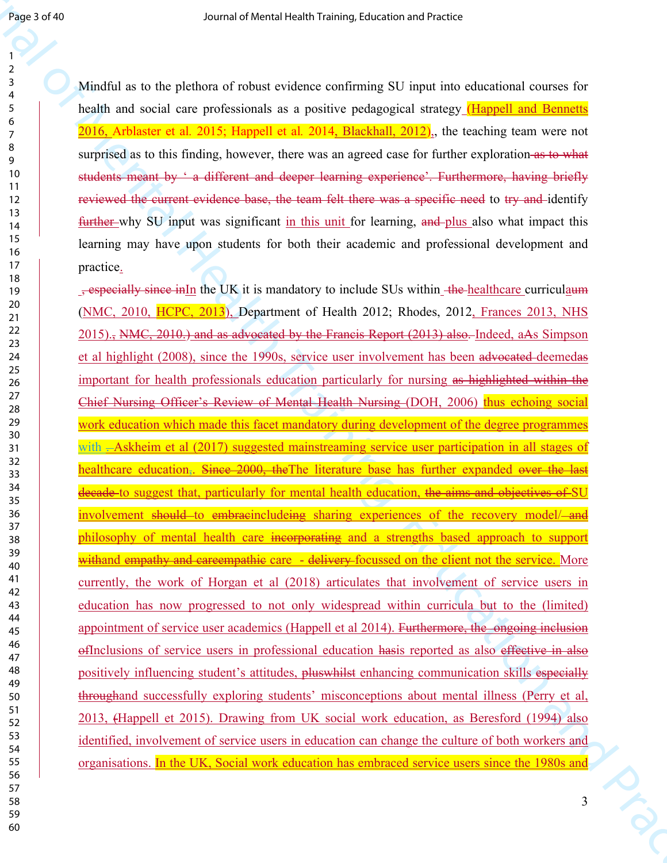Mindful as to the plethora of robust evidence confirming SU input into educational courses for health and social care professionals as a positive pedagogical strategy (Happell and Bennetts 2016, Arblaster et al*.* 2015; Happell et al*.* 2014, Blackhall, 2012),, the teaching team were not surprised as to this finding, however, there was an agreed case for further exploration as to what students meant by ' a different and deeper learning experience'. Furthermore, having briefly reviewed the current evidence base, the team felt there was a specific need to try and identify further why SU input was significant in this unit for learning, and plus also what impact this learning may have upon students for both their academic and professional development and practice.

**Example 20**<br>
Source of Mental Health Training in the specific controller and the specific controller and the specific controller and the specific controller and the specific controller and the specific controller and Pra , especially since inIn the UK it is mandatory to include SUs within the healthcare curriculaum (NMC, 2010, HCPC, 2013), Department of Health 2012; Rhodes, 2012, Frances 2013, NHS 2015)., NMC, 2010.) and as advocated by the Francis Report (2013) also. Indeed, aAs Simpson et al highlight (2008), since the 1990s, service user involvement has been advocated deemedas important for health professionals education particularly for nursing as highlighted within the Chief Nursing Officer's Review of Mental Health Nursing (DOH, 2006) thus echoing social work education which made this facet mandatory during development of the degree programmes with -Askheim et al (2017) suggested mainstreaming service user participation in all stages of healthcare education. Since 2000, the The literature base has further expanded over the last decade to suggest that, particularly for mental health education, the aims and objectives of SU involvement should to embracincludeing sharing experiences of the recovery modelphilosophy of mental health care incorporating and a strengths based approach to support withand empathy and careempathic care - delivery-focussed on the client not the service. More currently, the work of Horgan et al (2018) articulates that involvement of service users in education has now progressed to not only widespread within curricula but to the (limited) appointment of service user academics (Happell et al 2014). Furthermore, the ongoing inclusion ofInclusions of service users in professional education hasis reported as also effective in also positively influencing student's attitudes, pluswhilst enhancing communication skills especially throughand successfully exploring students' misconceptions about mental illness (Perry et al, 2013, (Happell et 2015). Drawing from UK social work education, as Beresford (1994) also identified, involvement of service users in education can change the culture of both workers and organisations. In the UK, Social work education has embraced service users since the 1980s and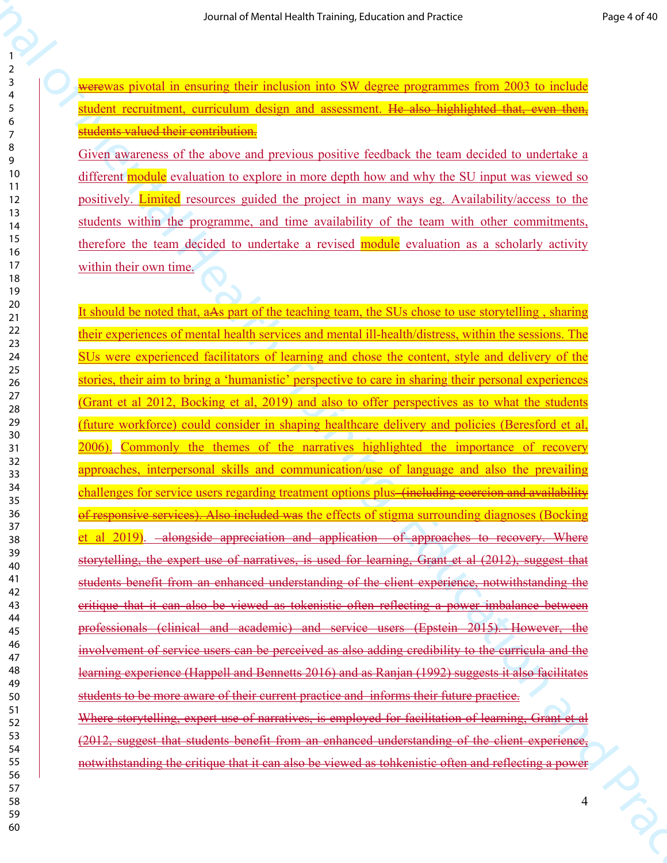werewas pivotal in ensuring their inclusion into SW degree programmes from 2003 to include student recruitment, curriculum design and assessment. He also highlighted that, even then, students valued their contribution.

Given awareness of the above and previous positive feedback the team decided to undertake a different module evaluation to explore in more depth how and why the SU input was viewed so positively. Limited resources guided the project in many ways eg. Availability/access to the students within the programme, and time availability of the team with other commitments, therefore the team decided to undertake a revised module evaluation as a scholarly activity within their own time.

So an arbettal signal mature of Mental mature and the Solid mature of Mental mature of Mental mature of Mental mature of Mental Mental Mental Mental Mental Mental Mental Mental Mental Mental Mental Mental Mental Mental Me It should be noted that, aAs part of the teaching team, the SUs chose to use storytelling , sharing their experiences of mental health services and mental ill-health/distress, within the sessions. The SUs were experienced facilitators of learning and chose the content, style and delivery of the stories, their aim to bring a 'humanistic' perspective to care in sharing their personal experiences (Grant et al 2012, Bocking et al, 2019) and also to offer perspectives as to what the students (future workforce) could consider in shaping healthcare delivery and policies (Beresford et al, 2006). Commonly the themes of the narratives highlighted the importance of recovery approaches, interpersonal skills and communication/use of language and also the prevailing challenges for service users regarding treatment options plus (including coercion and availability of responsive services). Also included was the effects of stigma surrounding diagnoses (Bocking et al 2019). alongside appreciation and application of approaches to recovery. Where storytelling, the expert use of narratives, is used for learning, Grant et al (2012), suggest that students benefit from an enhanced understanding of the client experience, notwithstanding the critique that it can also be viewed as tokenistic often reflecting a power imbalance between professionals (clinical and academic) and service users (Epstein 2015). However, the involvement of service users can be perceived as also adding credibility to the curricula and the learning experience (Happell and Bennetts 2016) and as Ranjan (1992) suggests it also facilitates students to be more aware of their current practice and informs their future practice. Where storytelling, expert use of narratives, is employed for facilitation of learning, Grant et al (2012, suggest that students benefit from an enhanced understanding of the client experience,

notwithstanding the critique that it can also be viewed as tohkenistic often and reflecting a power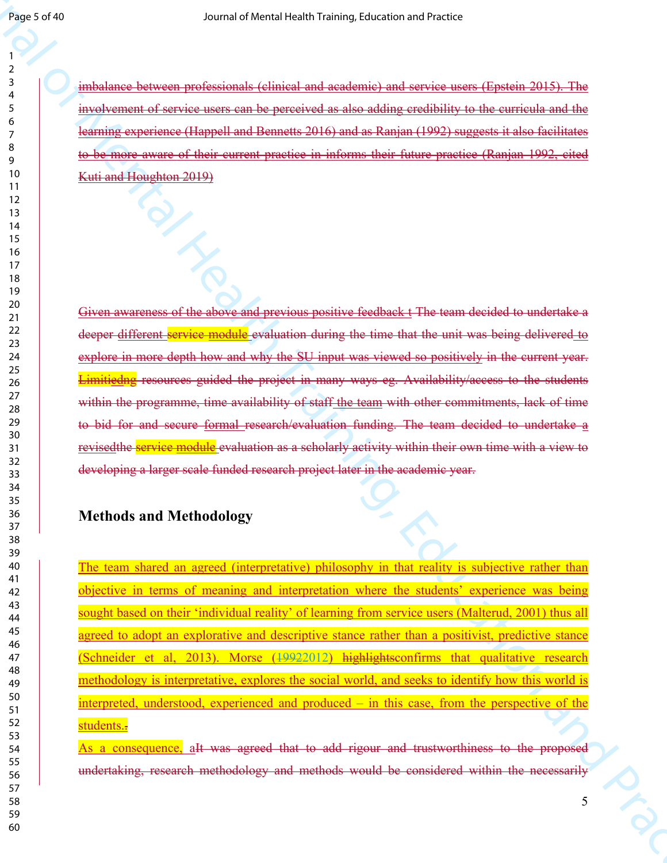imbalance between professionals (clinical and academic) and service users (Epstein 2015). The involvement of service users can be perceived as also adding credibility to the curricula and the learning experience (Happell and Bennetts 2016) and as Ranjan (1992) suggests it also facilitates to be more aware of their current practice in informs their future practice (Ranjan 1992, cited Kuti and Houghton 2019)

Given awareness of the above and previous positive feedback t The team decided to undertake a deeper different service module evaluation during the time that the unit was being delivered to explore in more depth how and why the SU input was viewed so positively in the current year. Limitiedng resources guided the project in many ways eg. Availability/access to the students within the programme, time availability of staff the team with other commitments, lack of time to bid for and secure formal research/evaluation funding. The team decided to undertake a revisedthe service module evaluation as a scholarly activity within their own time with a view to developing a larger scale funded research project later in the academic year.

# **Methods and Methodology**

Sensor of the main of the channel of the main and states and states are a states and the main of the main of the main of the main of the main of the main of the main of the main of the main of the main of the main of the The team shared an agreed (interpretative) philosophy in that reality is subjective rather than objective in terms of meaning and interpretation where the students' experience was being sought based on their 'individual reality' of learning from service users (Malterud, 2001) thus all agreed to adopt an explorative and descriptive stance rather than a positivist, predictive stance (Schneider et al, 2013). Morse (19922012) highlightsconfirms that qualitative research methodology is interpretative, explores the social world, and seeks to identify how this world is interpreted, understood, experienced and produced – in this case, from the perspective of the students.-

As a consequence, aIt was agreed that to add rigour and trustworthiness to the proposed undertaking, research methodology and methods would be considered within the necessarily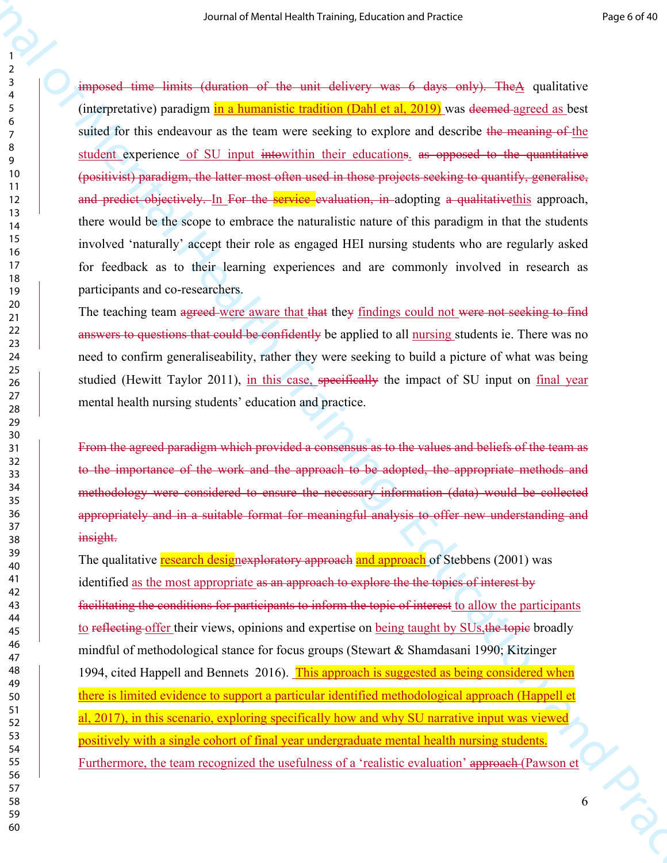Source of New York (1978) (and the mini-distance of Asia with the Similar Constitution and Training (and the mini-distance of Asia mini-distance of Asia mini-distance of Asia mini-distance of Equation (and Asia with the m imposed time limits (duration of the unit delivery was 6 days only). TheA qualitative (interpretative) paradigm in a humanistic tradition (Dahl et al, 2019) was deemed agreed as best suited for this endeavour as the team were seeking to explore and describe the meaning of the student experience of SU input intowithin their educations. as opposed to the quantitative (positivist) paradigm, the latter most often used in those projects seeking to quantify, generalise, and predict objectively. In For the service evaluation, in adopting a qualitative this approach, there would be the scope to embrace the naturalistic nature of this paradigm in that the students involved 'naturally' accept their role as engaged HEI nursing students who are regularly asked for feedback as to their learning experiences and are commonly involved in research as participants and co-researchers.

The teaching team agreed were aware that that they findings could not were not seeking to find answers to questions that could be confidently be applied to all nursing students ie. There was no need to confirm generaliseability, rather they were seeking to build a picture of what was being studied (Hewitt Taylor 2011), in this case, specifically the impact of SU input on final year mental health nursing students' education and practice.

From the agreed paradigm which provided a consensus as to the values and beliefs of the team as to the importance of the work and the approach to be adopted, the appropriate methods and methodology were considered to ensure the necessary information (data) would be collected appropriately and in a suitable format for meaningful analysis to offer new understanding and insight.

The qualitative research designexploratory approach and approach of Stebbens (2001) was identified as the most appropriate as an approach to explore the the topics of interest by facilitating the conditions for participants to inform the topic of interest to allow the participants to reflecting offer their views, opinions and expertise on being taught by SUs, the topic broadly mindful of methodological stance for focus groups (Stewart  $\&$  Shamdasani 1990; Kitzinger 1994, cited Happell and Bennets 2016). This approach is suggested as being considered when there is limited evidence to support a particular identified methodological approach (Happell et al, 2017), in this scenario, exploring specifically how and why SU narrative input was viewed positively with a single cohort of final year undergraduate mental health nursing students. Furthermore, the team recognized the usefulness of a 'realistic evaluation' approach (Pawson et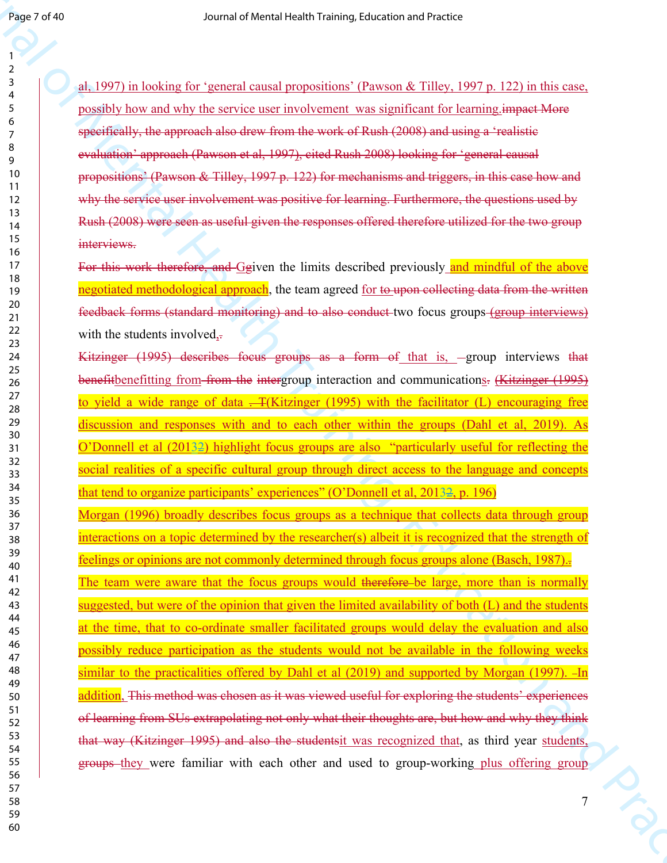al, 1997) in looking for 'general causal propositions' (Pawson & Tilley, 1997 p. 122) in this case, possibly how and why the service user involvement was significant for learning.impact More specifically, the approach also drew from the work of Rush (2008) and using a 'realistic evaluation' approach (Pawson et al, 1997), cited Rush 2008) looking for 'general causal propositions' (Pawson & Tilley, 1997 p. 122) for mechanisms and triggers, in this case how and why the service user involvement was positive for learning. Furthermore, the questions used by Rush (2008) were seen as useful given the responses offered therefore utilized for the two group interviews.

For this work therefore, and Ggiven the limits described previously and mindful of the above negotiated methodological approach, the team agreed for to upon collecting data from the written feedback forms (standard monitoring) and to also conduct two focus groups (group interviews) with the students involved, $\frac{1}{x}$ 

Kitzinger (1995) describes focus groups as a form of that is, -group interviews that benefitbenefitting from from the intergroup interaction and communications. (Kitzinger (1995) to yield a wide range of data  $\overline{+}$  (Kitzinger (1995) with the facilitator (L) encouraging free discussion and responses with and to each other within the groups (Dahl et al, 2019). As O'Donnell et al (20132) highlight focus groups are also "particularly useful for reflecting the social realities of a specific cultural group through direct access to the language and concepts that tend to organize participants' experiences" (O'Donnell et al, 20132, p. 196)

Sensor of the state of the state of the state of the state of the state of the state of the state of the state of the state of the state of the state of the state of the state of the state of the state of the state of the Morgan (1996) broadly describes focus groups as a technique that collects data through group interactions on a topic determined by the researcher(s) albeit it is recognized that the strength of feelings or opinions are not commonly determined through focus groups alone (Basch, 1987).. The team were aware that the focus groups would therefore-be large, more than is normally suggested, but were of the opinion that given the limited availability of both (L) and the students at the time, that to co-ordinate smaller facilitated groups would delay the evaluation and also possibly reduce participation as the students would not be available in the following weeks similar to the practicalities offered by Dahl et al (2019) and supported by Morgan (1997). -In addition, This method was chosen as it was viewed useful for exploring the students' experiences of learning from SUs extrapolating not only what their thoughts are, but how and why they think that way (Kitzinger 1995) and also the studentsit was recognized that, as third year students, groups they were familiar with each other and used to group-working plus offering group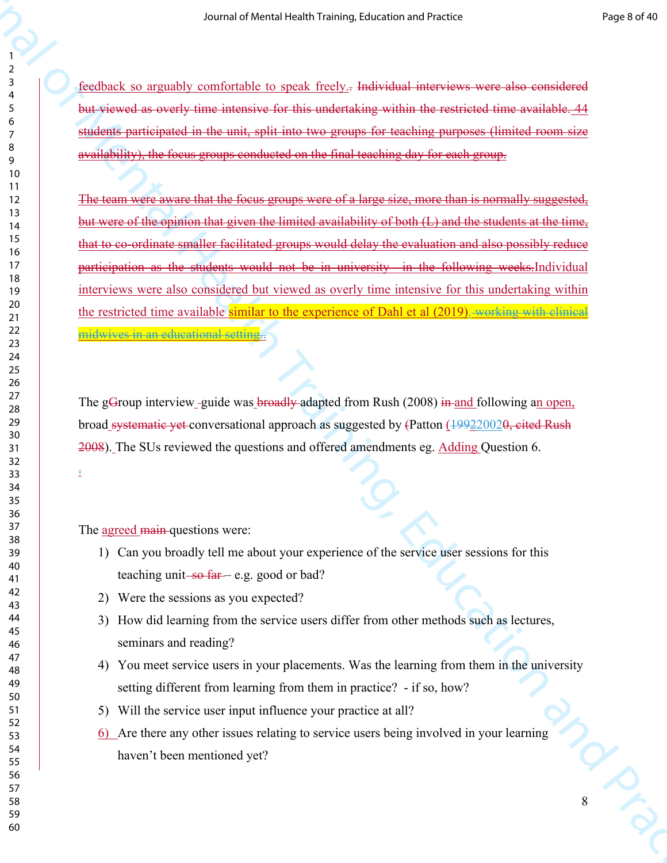feedback so arguably comfortable to speak freely.. Individual interviews were also considered but viewed as overly time intensive for this undertaking within the restricted time available. 44 students participated in the unit, split into two groups for teaching purposes (limited room size availability), the focus groups conducted on the final teaching day for each group.

Source of New York Health Controller is the New York Health Training (and the Second Health Training)<br>  $\frac{1}{2}$  (and  $\frac{1}{2}$  (and  $\frac{1}{2}$  (and  $\frac{1}{2}$  (and  $\frac{1}{2}$  (and  $\frac{1}{2}$  (and  $\frac{1}{2}$  (and  $\frac{1}{2}$  (an The team were aware that the focus groups were of a large size, more than is normally suggested, but were of the opinion that given the limited availability of both (L) and the students at the time, that to co-ordinate smaller facilitated groups would delay the evaluation and also possibly reduce participation as the students would not be in university in the following weeks.Individual interviews were also considered but viewed as overly time intensive for this undertaking within the restricted time available similar to the experience of Dahl et al (2019). working with clinical midwives in an educational setting...

The gGroup interview -guide was broadly adapted from Rush (2008) in and following an open, broad systematic yet conversational approach as suggested by (Patton (199220020, cited Rush 2008). The SUs reviewed the questions and offered amendments eg. Adding Question 6.

The agreed main-questions were:

- 1) Can you broadly tell me about your experience of the service user sessions for this teaching unit  $-$ so  $far$  – e.g. good or bad?
- 2) Were the sessions as you expected?
- 3) How did learning from the service users differ from other methods such as lectures, seminars and reading?
- 4) You meet service users in your placements. Was the learning from them in the university setting different from learning from them in practice? - if so, how?
- 5) Will the service user input influence your practice at all?
- 6) Are there any other issues relating to service users being involved in your learning haven't been mentioned yet?

 

.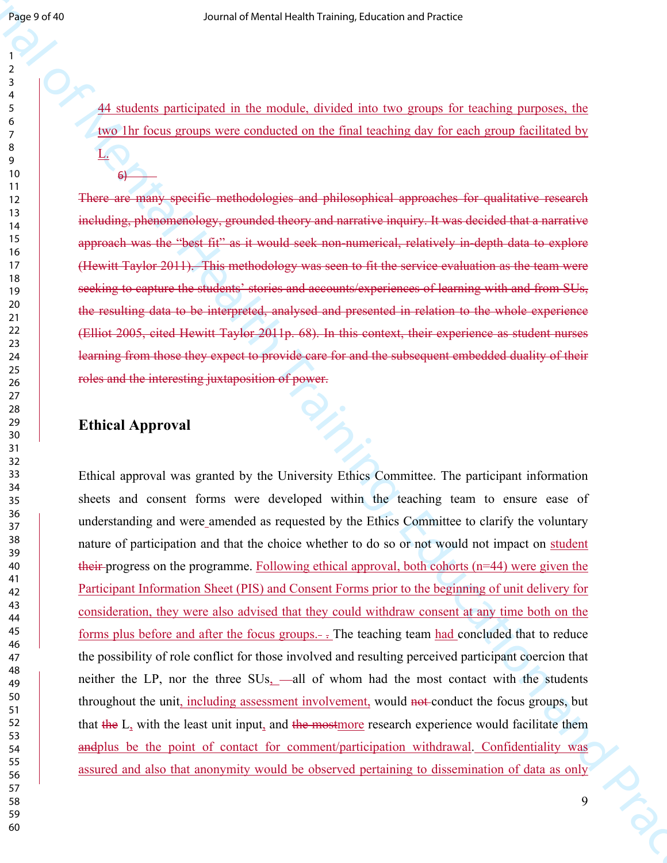44 students participated in the module, divided into two groups for teaching purposes, the two 1hr focus groups were conducted on the final teaching day for each group facilitated by

There are many specific methodologies and philosophical approaches for qualitative research including, phenomenology, grounded theory and narrative inquiry. It was decided that a narrative approach was the "best fit" as it would seek non-numerical, relatively in-depth data to explore (Hewitt Taylor 2011). This methodology was seen to fit the service evaluation as the team were seeking to capture the students' stories and accounts/experiences of learning with and from SUs, the resulting data to be interpreted, analysed and presented in relation to the whole experience (Elliot 2005, cited Hewitt Taylor 2011p. 68). In this context, their experience as student nurses learning from those they expect to provide care for and the subsequent embedded duality of their roles and the interesting juxtaposition of power.

## **Ethical Approval**

L.

6)

Sensor of the method is the method interest of the method interest of the method parameters, the method is the method interest of the method interest of the method interest of the method interest of the method interest of Ethical approval was granted by the University Ethics Committee. The participant information sheets and consent forms were developed within the teaching team to ensure ease of understanding and were amended as requested by the Ethics Committee to clarify the voluntary nature of participation and that the choice whether to do so or not would not impact on student their progress on the programme. Following ethical approval, both cohorts (n=44) were given the Participant Information Sheet (PIS) and Consent Forms prior to the beginning of unit delivery for consideration, they were also advised that they could withdraw consent at any time both on the forms plus before and after the focus groups. $-$ . The teaching team had concluded that to reduce the possibility of role conflict for those involved and resulting perceived participant coercion that neither the LP, nor the three SUs, —all of whom had the most contact with the students throughout the unit, including assessment involvement, would not conduct the focus groups, but that the L, with the least unit input, and the mostmore research experience would facilitate them andplus be the point of contact for comment/participation withdrawal. Confidentiality was assured and also that anonymity would be observed pertaining to dissemination of data as only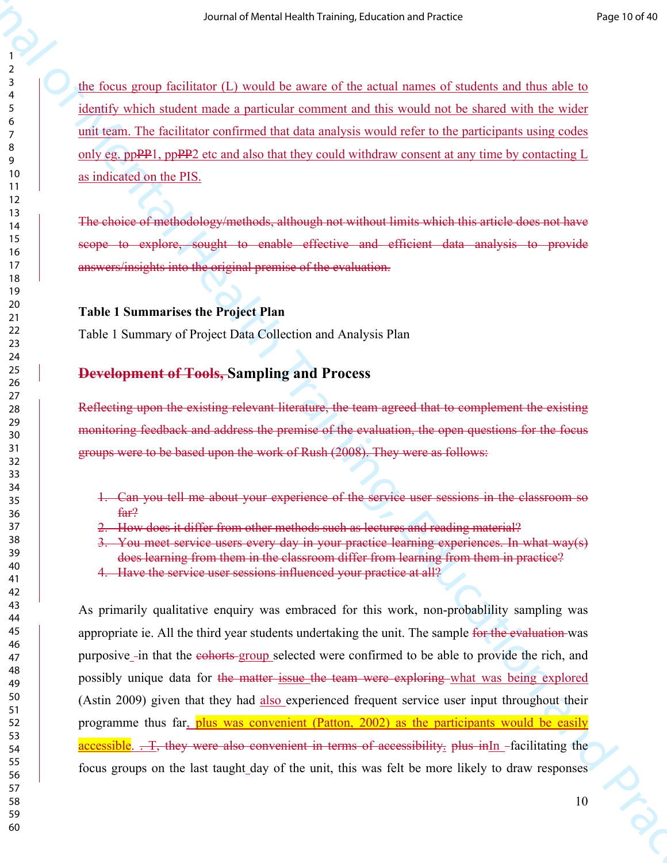the focus group facilitator (L) would be aware of the actual names of students and thus able to identify which student made a particular comment and this would not be shared with the wider unit team. The facilitator confirmed that data analysis would refer to the participants using codes only eg. ppPP1, ppPP2 etc and also that they could withdraw consent at any time by contacting  $L$ as indicated on the PIS.

The choice of methodology/methods, although not without limits which this article does not have scope to explore, sought to enable effective and efficient data analysis to provide answers/insights into the original premise of the evaluation.

## **Table 1 Summarises the Project Plan**

Table 1 Summary of Project Data Collection and Analysis Plan

# **Development of Tools, Sampling and Process**

Reflecting upon the existing relevant literature, the team agreed that to complement the existing monitoring feedback and address the premise of the evaluation, the open questions for the focus groups were to be based upon the work of Rush (2008). They were as follows:

- 1. Can you tell me about your experience of the service user sessions in the classroom so far?
- 2. How does it differ from other methods such as lectures and reading material?
- 3. You meet service users every day in your practice learning experiences. In what way(s) does learning from them in the classroom differ from learning from them in practice?
- 4. Have the service user sessions influenced your practice at all?

So an arbitraria signing at the stationary of the antilation and reader<br>  $\frac{\partial \phi}{\partial t}$  (contribution and a neutral health Training at the shared with the stationary of the stationary of the stationary of the stationary of As primarily qualitative enquiry was embraced for this work, non-probablility sampling was appropriate ie. All the third year students undertaking the unit. The sample for the evaluation was purposive -in that the cohorts-group selected were confirmed to be able to provide the rich, and possibly unique data for the matter issue the team were exploring what was being explored (Astin 2009) given that they had also experienced frequent service user input throughout their programme thus far, plus was convenient (Patton, 2002) as the participants would be easily accessible.  $\pm$  T, they were also convenient in terms of accessibility. plus in In -facilitating the focus groups on the last taught day of the unit, this was felt be more likely to draw responses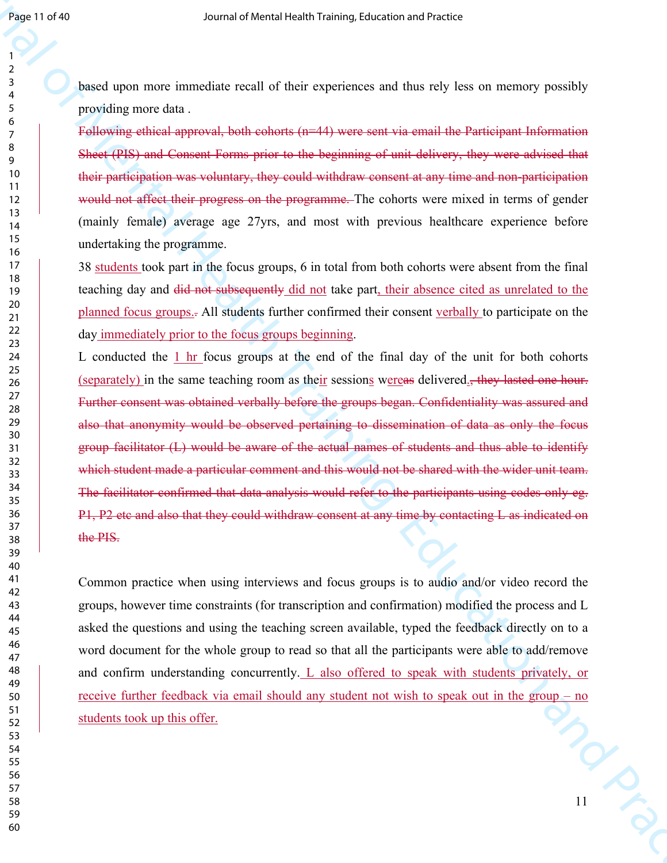based upon more immediate recall of their experiences and thus rely less on memory possibly providing more data .

Following ethical approval, both cohorts (n=44) were sent via email the Participant Information Sheet (PIS) and Consent Forms prior to the beginning of unit delivery, they were advised that their participation was voluntary, they could withdraw consent at any time and non-participation would not affect their progress on the programme. The cohorts were mixed in terms of gender (mainly female) average age 27yrs, and most with previous healthcare experience before undertaking the programme.

38 students took part in the focus groups, 6 in total from both cohorts were absent from the final teaching day and did not subsequently did not take part, their absence cited as unrelated to the planned focus groups.. All students further confirmed their consent verbally to participate on the day immediately prior to the focus groups beginning.

Search of Mental of Mental of the Figure of Mental of the Figure Control of Mental of Mental Schedule (Search Control of Training) (and Control of Training) (and Training) (and Expediate Training Control of Training) (and L conducted the 1 hr focus groups at the end of the final day of the unit for both cohorts (separately) in the same teaching room as their sessions wereas delivered., they lasted one hour. Further consent was obtained verbally before the groups began. Confidentiality was assured and also that anonymity would be observed pertaining to dissemination of data as only the focus group facilitator (L) would be aware of the actual names of students and thus able to identify which student made a particular comment and this would not be shared with the wider unit team. The facilitator confirmed that data analysis would refer to the participants using codes only eg. P1, P2 etc and also that they could withdraw consent at any time by contacting L as indicated on the PIS.

 $\frac{1}{\sqrt{2}}$ Common practice when using interviews and focus groups is to audio and/or video record the groups, however time constraints (for transcription and confirmation) modified the process and L asked the questions and using the teaching screen available, typed the feedback directly on to a word document for the whole group to read so that all the participants were able to add/remove and confirm understanding concurrently. L also offered to speak with students privately, or receive further feedback via email should any student not wish to speak out in the group – no students took up this offer.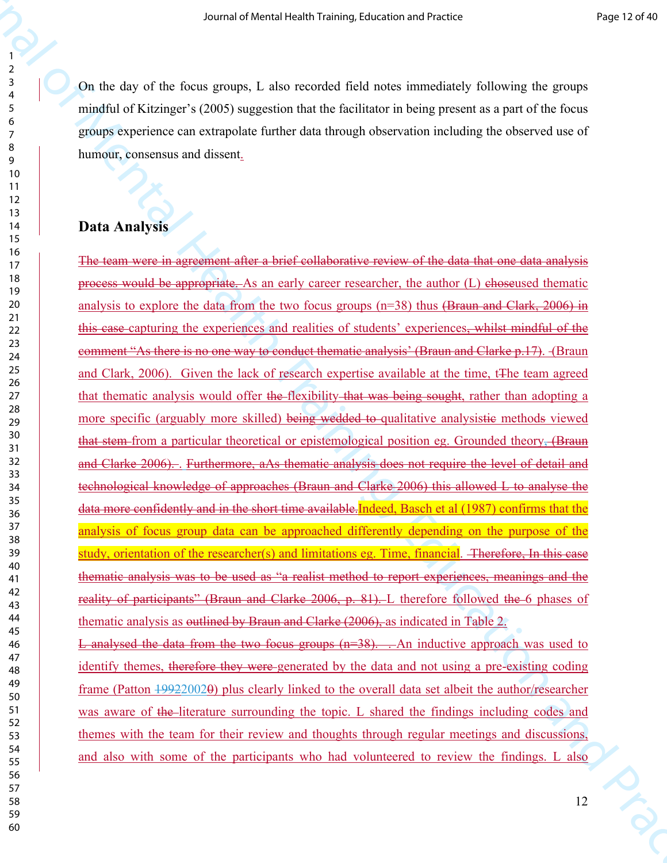On the day of the focus groups, L also recorded field notes immediately following the groups mindful of Kitzinger's (2005) suggestion that the facilitator in being present as a part of the focus groups experience can extrapolate further data through observation including the observed use of humour, consensus and dissent.

## **Data Analysis**

Source of vierties is each ration interaction and reader<br>  $\frac{1}{2}$ <br>  $\frac{1}{2}$ <br>  $\frac{1}{2}$ <br>  $\frac{1}{2}$ <br>  $\frac{1}{2}$ <br>  $\frac{1}{2}$ <br>  $\frac{1}{2}$ <br>  $\frac{1}{2}$ <br>  $\frac{1}{2}$ <br>  $\frac{1}{2}$ <br>  $\frac{1}{2}$ <br>  $\frac{1}{2}$ <br>  $\frac{1}{2}$ <br>  $\frac{1}{2}$ <br>  $\frac{1}{2}$ The team were in agreement after a brief collaborative review of the data that one data analysis process would be appropriate. As an early career researcher, the author (L) choseused thematic analysis to explore the data from the two focus groups (n=38) thus (Braun and Clark, 2006) in this case capturing the experiences and realities of students' experiences, whilst mindful of the comment "As there is no one way to conduct thematic analysis' (Braun and Clarke p.17). (Braun and Clark, 2006). Given the lack of research expertise available at the time, t<sub>The team agreed</sub> that thematic analysis would offer the flexibility that was being sought, rather than adopting a more specific (arguably more skilled) being wedded to qualitative analysistic methods viewed that stem from a particular theoretical or epistemological position eg. Grounded theory, (Braun and Clarke 2006). . Furthermore, aAs thematic analysis does not require the level of detail and technological knowledge of approaches (Braun and Clarke 2006) this allowed L to analyse the data more confidently and in the short time available.Indeed, Basch et al (1987) confirms that the analysis of focus group data can be approached differently depending on the purpose of the study, orientation of the researcher(s) and limitations eg. Time, financial. Therefore, In this case thematic analysis was to be used as "a realist method to report experiences, meanings and the reality of participants" (Braun and Clarke 2006, p. 81). L therefore followed the 6 phases of thematic analysis as outlined by Braun and Clarke (2006), as indicated in Table 2.

L analysed the data from the two focus groups (n=38). . An inductive approach was used to identify themes, therefore they were generated by the data and not using a pre-existing coding frame (Patton 199220020) plus clearly linked to the overall data set albeit the author/researcher was aware of the literature surrounding the topic. L shared the findings including codes and themes with the team for their review and thoughts through regular meetings and discussions, and also with some of the participants who had volunteered to review the findings. L also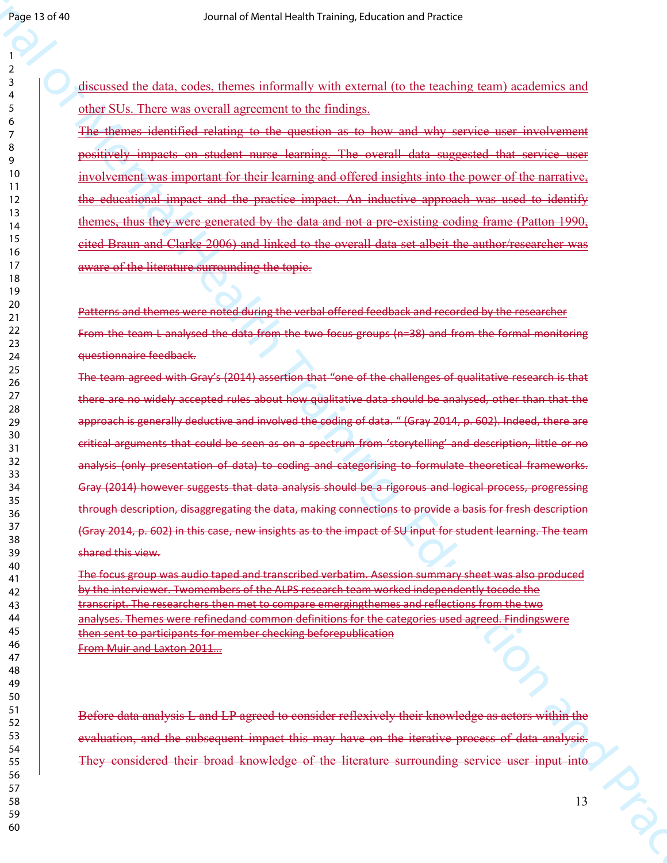discussed the data, codes, themes informally with external (to the teaching team) academics and other SUs. There was overall agreement to the findings.

The themes identified relating to the question as to how and why service user involvement positively impacts on student nurse learning. The overall data suggested that service user involvement was important for their learning and offered insights into the power of the narrative, the educational impact and the practice impact. An inductive approach was used to identify themes, thus they were generated by the data and not a pre-existing coding frame (Patton 1990, cited Braun and Clarke 2006) and linked to the overall data set albeit the author/researcher was aware of the literature surrounding the topic.

Patterns and themes were noted during the verbal offered feedback and recorded by the researcher From the team L analysed the data from the two focus groups (n=38) and from the formal monitoring questionnaire feedback.

Search of Mental Health Training, the main of Meridian Control of Mental Control of Mental Control of Mental Control of Mental Control of Mental Control of Mental Control of Mental Control of Mental Control of Mental Cont The team agreed with Gray's (2014) assertion that "one of the challenges of qualitative research is that there are no widely accepted rules about how qualitative data should be analysed, other than that the approach is generally deductive and involved the coding of data. " (Gray 2014, p. 602). Indeed, there are critical arguments that could be seen as on a spectrum from 'storytelling' and description, little or no analysis (only presentation of data) to coding and categorising to formulate theoretical frameworks. Gray (2014) however suggests that data analysis should be a rigorous and logical process, progressing through description, disaggregating the data, making connections to provide a basis for fresh description (Gray 2014, p. 602) in this case, new insights as to the impact of SU input for student learning. The team shared this view.

The focus group was audio taped and transcribed verbatim. Asession summary sheet was also produced by the interviewer. Twomembers of the ALPS research team worked independently tocode the transcript. The researchers then met to compare emergingthemes and reflections from the two analyses. Themes were refinedand common definitions for the categories used agreed. Findingswere then sent to participants for member checking beforepublication From Muir and Laxton 2011…

Before data analysis L and LP agreed to consider reflexively their knowledge as actors within the evaluation, and the subsequent impact this may have on the iterative process of data analysis. They considered their broad knowledge of the literature surrounding service user input into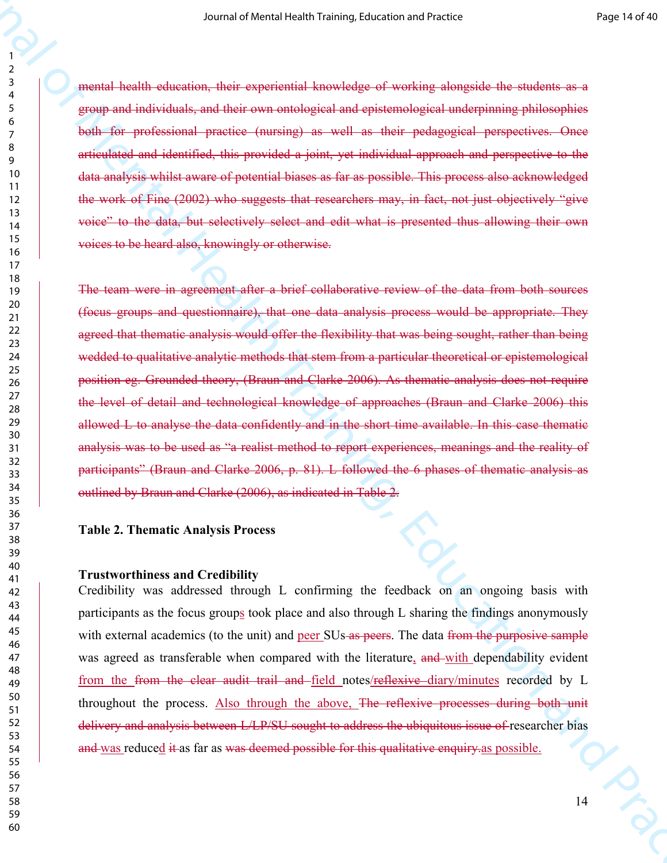mental health education, their experiential knowledge of working alongside the students as a group and individuals, and their own ontological and epistemological underpinning philosophies both for professional practice (nursing) as well as their pedagogical perspectives. Once articulated and identified, this provided a joint, yet individual approach and perspective to the data analysis whilst aware of potential biases as far as possible. This process also acknowledged the work of Fine (2002) who suggests that researchers may, in fact, not just objectively "give voice" to the data, but selectively select and edit what is presented thus allowing their own voices to be heard also, knowingly or otherwise.

So an at Nores i excels in case of a content of the content of the separation of the separation of the separation of the separation of the separation of the separation and proposed and proposed and proposed and proposed a The team were in agreement after a brief collaborative review of the data from both sources (focus groups and questionnaire), that one data analysis process would be appropriate. They agreed that thematic analysis would offer the flexibility that was being sought, rather than being wedded to qualitative analytic methods that stem from a particular theoretical or epistemological position eg. Grounded theory, (Braun and Clarke 2006). As thematic analysis does not require the level of detail and technological knowledge of approaches (Braun and Clarke 2006) this allowed L to analyse the data confidently and in the short time available. In this case thematic analysis was to be used as "a realist method to report experiences, meanings and the reality of participants" (Braun and Clarke 2006, p. 81). L followed the 6 phases of thematic analysis as outlined by Braun and Clarke (2006), as indicated in Table 2.

#### **Table 2. Thematic Analysis Process**

#### **Trustworthiness and Credibility**

Credibility was addressed through L confirming the feedback on an ongoing basis with participants as the focus groups took place and also through L sharing the findings anonymously with external academics (to the unit) and peer SUs as peers. The data from the purposive sample was agreed as transferable when compared with the literature, and with dependability evident from the from the clear audit trail and field notes/reflexive diary/minutes recorded by L throughout the process. Also through the above, The reflexive processes during both unit delivery and analysis between L/LP/SU sought to address the ubiquitous issue of researcher bias and was reduced it as far as was deemed possible for this qualitative enquiry as possible.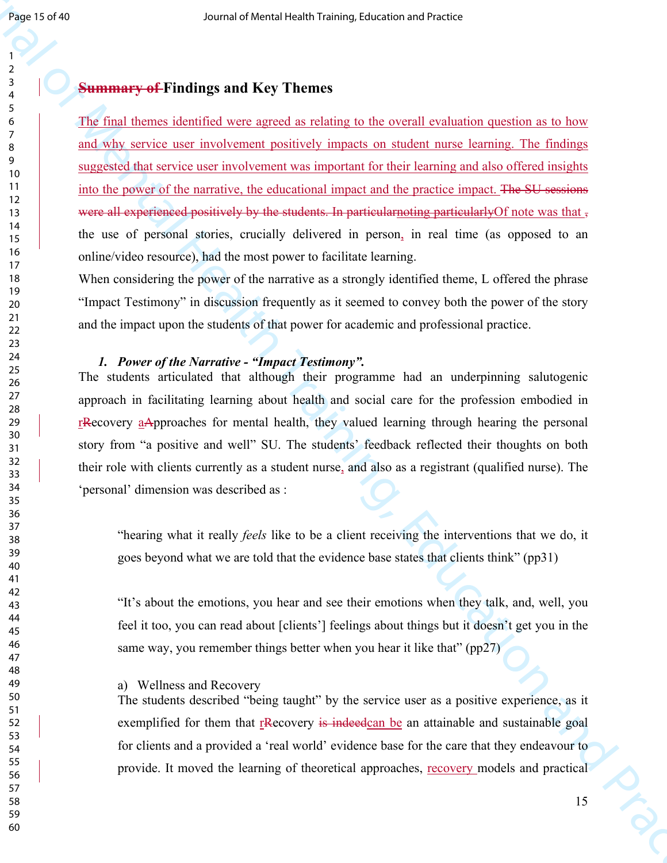## **Summary of Findings and Key Themes**

Search of Source of Mental Assemblance is the Comparison of Finding Control of Mental Assemblance is the Comparison of Mental Control of Mental Control of Mental Control of Mental Control of Mental Assemblance is the Comp The final themes identified were agreed as relating to the overall evaluation question as to how and why service user involvement positively impacts on student nurse learning. The findings suggested that service user involvement was important for their learning and also offered insights into the power of the narrative, the educational impact and the practice impact. The SU sessions were all experienced positively by the students. In particular noting particularly Of note was that , the use of personal stories, crucially delivered in person, in real time (as opposed to an online/video resource), had the most power to facilitate learning.

When considering the power of the narrative as a strongly identified theme, L offered the phrase "Impact Testimony" in discussion frequently as it seemed to convey both the power of the story and the impact upon the students of that power for academic and professional practice.

## *1. Power of the Narrative - "Impact Testimony".*

The students articulated that although their programme had an underpinning salutogenic approach in facilitating learning about health and social care for the profession embodied in rRecovery aApproaches for mental health, they valued learning through hearing the personal story from "a positive and well" SU. The students' feedback reflected their thoughts on both their role with clients currently as a student nurse, and also as a registrant (qualified nurse). The 'personal' dimension was described as :

"hearing what it really *feels* like to be a client receiving the interventions that we do, it goes beyond what we are told that the evidence base states that clients think" (pp31)

"It's about the emotions, you hear and see their emotions when they talk, and, well, you feel it too, you can read about [clients'] feelings about things but it doesn't get you in the same way, you remember things better when you hear it like that" (pp27)

#### a) Wellness and Recovery

The students described "being taught" by the service user as a positive experience, as it exemplified for them that  $r$ Recovery is indeedcan be an attainable and sustainable goal for clients and a provided a 'real world' evidence base for the care that they endeavour to provide. It moved the learning of theoretical approaches, recovery models and practical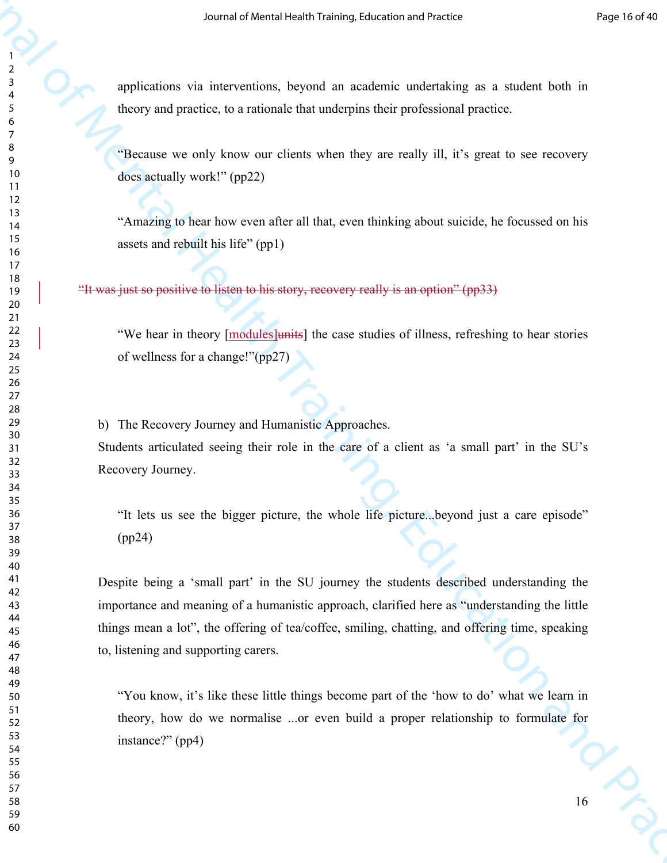applications via interventions, beyond an academic undertaking as a student both in theory and practice, to a rationale that underpins their professional practice.

"Because we only know our clients when they are really ill, it's great to see recovery does actually work!" (pp22)

"Amazing to hear how even after all that, even thinking about suicide, he focussed on his assets and rebuilt his life" (pp1)

"It was just so positive to listen to his story, recovery really is an option" (pp33)

"We hear in theory [modules]units] the case studies of illness, refreshing to hear stories of wellness for a change!"(pp27)

b) The Recovery Journey and Humanistic Approaches. Students articulated seeing their role in the care of a client as 'a small part' in the SU's Recovery Journey.

"It lets us see the bigger picture, the whole life picture...beyond just a care episode" (pp24)

Source of Version Health Training, the symptom and an ambient control of Mental Health Training and a symptom both the mean specifical procedure of Mental Health Training and Source of Mental Health Training and Practice Despite being a 'small part' in the SU journey the students described understanding the importance and meaning of a humanistic approach, clarified here as "understanding the little things mean a lot", the offering of tea/coffee, smiling, chatting, and offering time, speaking to, listening and supporting carers.

 $\frac{16}{16}$ "You know, it's like these little things become part of the 'how to do' what we learn in theory, how do we normalise ...or even build a proper relationship to formulate for instance?" (pp4)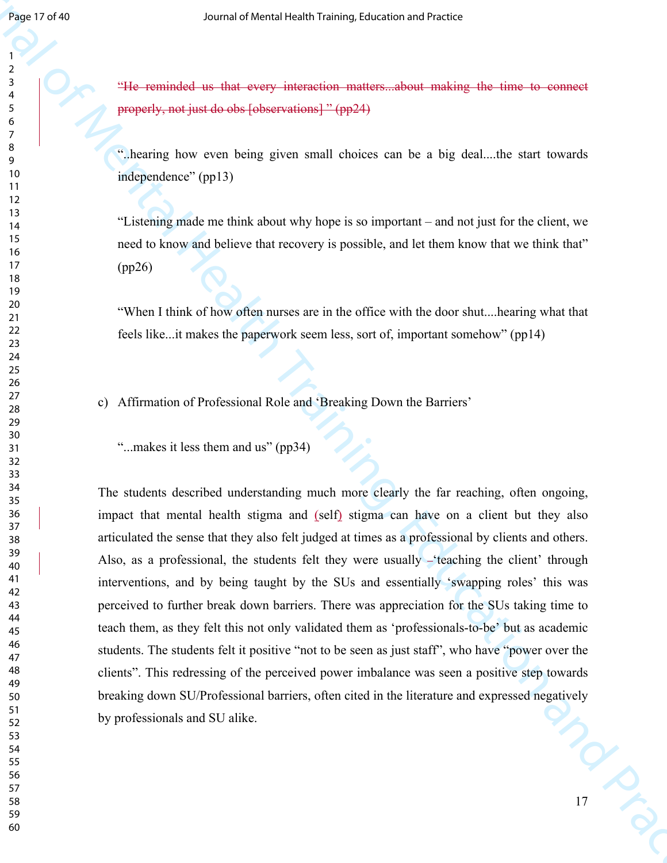"He reminded us that every interaction matters...about making the time to connect properly, not just do obs [observations] " (pp24)

"..hearing how even being given small choices can be a big deal....the start towards independence" (pp13)

"Listening made me think about why hope is so important – and not just for the client, we need to know and believe that recovery is possible, and let them know that we think that" (pp26)

"When I think of how often nurses are in the office with the door shut....hearing what that feels like...it makes the paperwork seem less, sort of, important somehow" (pp14)

c) Affirmation of Professional Role and 'Breaking Down the Barriers'

"...makes it less them and us" (pp34)

Search of Mental and the energy internal or a state of mental of the state of the state of the state of the state of the state of the state of the state of the state of the state of the state of the state of the state of The students described understanding much more clearly the far reaching, often ongoing, impact that mental health stigma and (self) stigma can have on a client but they also articulated the sense that they also felt judged at times as a professional by clients and others. Also, as a professional, the students felt they were usually  $-$  teaching the client' through interventions, and by being taught by the SUs and essentially 'swapping roles' this was perceived to further break down barriers. There was appreciation for the SUs taking time to teach them, as they felt this not only validated them as 'professionals-to-be' but as academic students. The students felt it positive "not to be seen as just staff", who have "power over the clients". This redressing of the perceived power imbalance was seen a positive step towards breaking down SU/Professional barriers, often cited in the literature and expressed negatively by professionals and SU alike.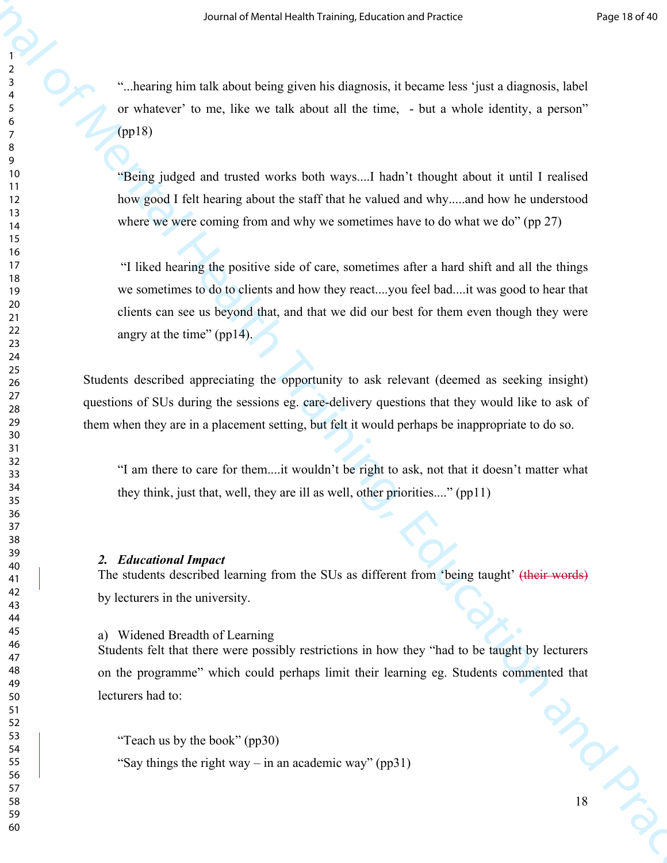"...hearing him talk about being given his diagnosis, it became less 'just a diagnosis, label or whatever' to me, like we talk about all the time, - but a whole identity, a person" (pp18)

"Being judged and trusted works both ways....I hadn't thought about it until I realised how good I felt hearing about the staff that he valued and why.....and how he understood where we were coming from and why we sometimes have to do what we do" (pp 27)

So an at Voretal vegets income indicates and readed to the Sinut allows of Mental Association and  $\frac{1}{2}$ <br>
The vectors of  $\alpha$  metallic the Mental Training, a bound in the sinus, a bound is denoted to the sinus of the M "I liked hearing the positive side of care, sometimes after a hard shift and all the things we sometimes to do to clients and how they react....you feel bad....it was good to hear that clients can see us beyond that, and that we did our best for them even though they were angry at the time" (pp14).

Students described appreciating the opportunity to ask relevant (deemed as seeking insight) questions of SUs during the sessions eg. care-delivery questions that they would like to ask of them when they are in a placement setting, but felt it would perhaps be inappropriate to do so.

"I am there to care for them....it wouldn't be right to ask, not that it doesn't matter what they think, just that, well, they are ill as well, other priorities...." (pp11)

#### *2. Educational Impact*

The students described learning from the SUs as different from 'being taught' (their words) by lecturers in the university.

#### a) Widened Breadth of Learning

 $\frac{1}{\sqrt{2}}$ Students felt that there were possibly restrictions in how they "had to be taught by lecturers on the programme" which could perhaps limit their learning eg. Students commented that lecturers had to:

"Say things the right way – in an academic way" (pp31)

<sup>&</sup>quot;Teach us by the book" (pp30)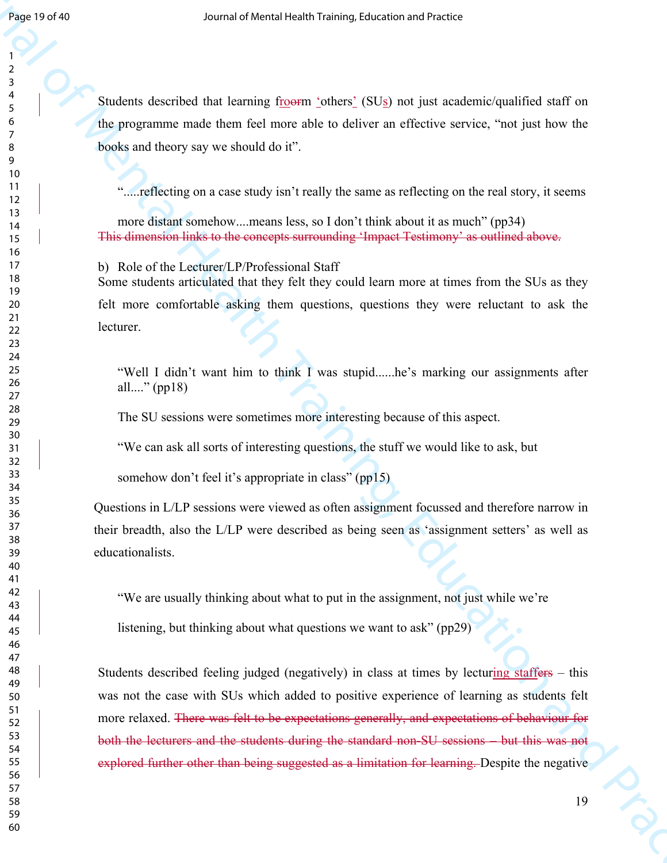Students described that learning froorm 'others' (SUs) not just academic/qualified staff on the programme made them feel more able to deliver an effective service, "not just how the books and theory say we should do it".

".....reflecting on a case study isn't really the same as reflecting on the real story, it seems

more distant somehow....means less, so I don't think about it as much" (pp34) This dimension links to the concepts surrounding 'Impact Testimony' as outlined above.

b) Role of the Lecturer/LP/Professional Staff Some students articulated that they felt they could learn more at times from the SUs as they felt more comfortable asking them questions, questions they were reluctant to ask the lecturer.

"Well I didn't want him to think I was stupid......he's marking our assignments after all...." (pp18)

The SU sessions were sometimes more interesting because of this aspect.

"We can ask all sorts of interesting questions, the stuff we would like to ask, but

somehow don't feel it's appropriate in class" (pp15)

Questions in L/LP sessions were viewed as often assignment focussed and therefore narrow in their breadth, also the L/LP were described as being seen as 'assignment setters' as well as educationalists.

"We are usually thinking about what to put in the assignment, not just while we're

listening, but thinking about what questions we want to ask" (pp29)

**Example 20**<br> **Example 20**<br> **Example 20**<br> **Example 20**<br> **Example 20**<br> **Example 20**<br> **Example 20**<br> **Example 20**<br> **Example 20**<br> **Example 20**<br> **Example 20**<br> **Example 20**<br> **Example 20**<br> **Example 20**<br> **Example 20**<br> **Example 20** Students described feeling judged (negatively) in class at times by lecturing staffers – this was not the case with SUs which added to positive experience of learning as students felt more relaxed. There was felt to be expectations generally, and expectations of behaviour for both the lecturers and the students during the standard non-SU sessions – but this was not explored further other than being suggested as a limitation for learning. Despite the negative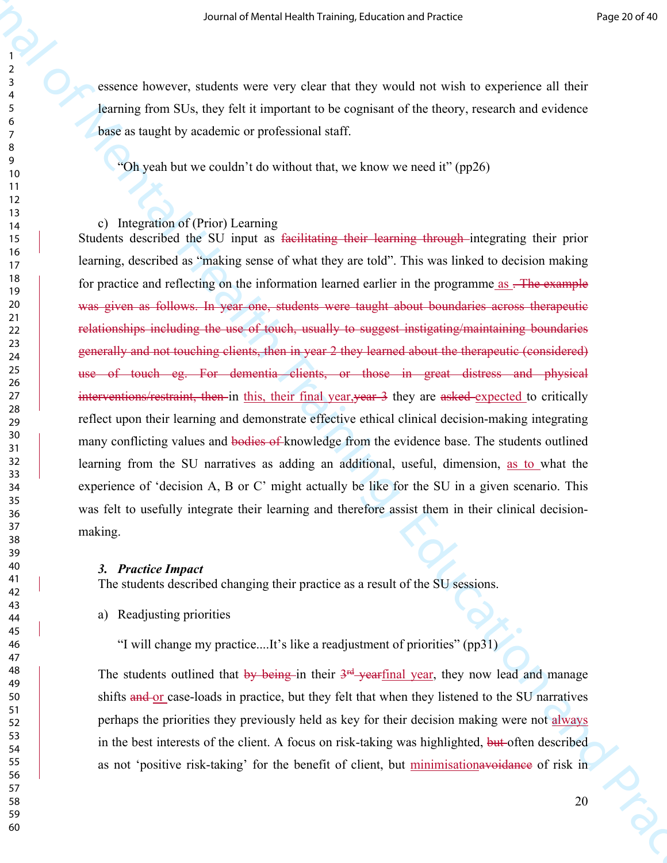essence however, students were very clear that they would not wish to experience all their learning from SUs, they felt it important to be cognisant of the theory, research and evidence base as taught by academic or professional staff.

"Oh yeah but we couldn't do without that, we know we need it" (pp26)

## c) Integration of (Prior) Learning

Source at velocit vechanism of the state of Mental Health Training, and the state of Mental Health Training, the state of Mental Health Training, the state of Mental Health Training, the System of Training, Training, Trai Students described the SU input as facilitating their learning through integrating their prior learning, described as "making sense of what they are told". This was linked to decision making for practice and reflecting on the information learned earlier in the programme as . The example was given as follows. In year one, students were taught about boundaries across therapeutic relationships including the use of touch, usually to suggest instigating/maintaining boundaries generally and not touching clients, then in year 2 they learned about the therapeutic (considered) use of touch eg. For dementia clients, or those in great distress and physical interventions/restraint, then in this, their final year, year 3 they are asked expected to critically reflect upon their learning and demonstrate effective ethical clinical decision-making integrating many conflicting values and bodies of knowledge from the evidence base. The students outlined learning from the SU narratives as adding an additional, useful, dimension, as to what the experience of 'decision A, B or C' might actually be like for the SU in a given scenario. This was felt to usefully integrate their learning and therefore assist them in their clinical decisionmaking.

## *3. Practice Impact*

The students described changing their practice as a result of the SU sessions.

a) Readjusting priorities

"I will change my practice....It's like a readjustment of priorities" (pp31)

The students outlined that by being in their 3<sup>rd</sup> yearfinal year, they now lead and manage shifts and or case-loads in practice, but they felt that when they listened to the SU narratives perhaps the priorities they previously held as key for their decision making were not always in the best interests of the client. A focus on risk-taking was highlighted, but often described as not 'positive risk-taking' for the benefit of client, but minimisationavoidance of risk in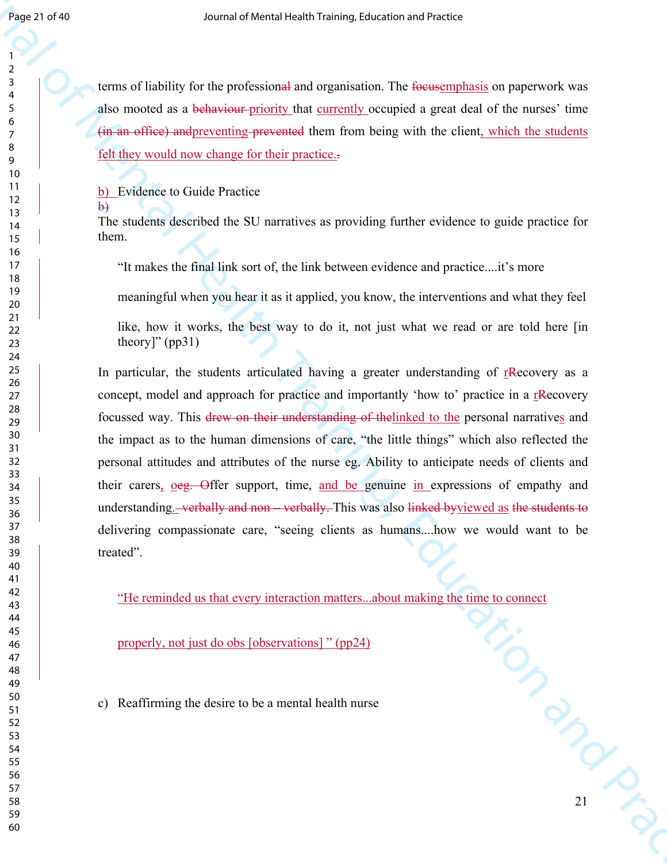terms of liability for the professional and organisation. The focusemphasis on paperwork was also mooted as a behaviour-priority that currently occupied a great deal of the nurses' time (in an office) andpreventing prevented them from being with the client, which the students felt they would now change for their practice..

b) Evidence to Guide Practice

b)

The students described the SU narratives as providing further evidence to guide practice for them.

"It makes the final link sort of, the link between evidence and practice....it's more

meaningful when you hear it as it applied, you know, the interventions and what they feel

like, how it works, the best way to do it, not just what we read or are told here [in theory]"  $(pp31)$ 

Search of Mental Health Training and there is expected to the membership of Pre-<br>
Journal of Mental Health Training, the membership of the membership of the membership of the membership of the membership of the membership In particular, the students articulated having a greater understanding of rRecovery as a concept, model and approach for practice and importantly 'how to' practice in a rRecovery focussed way. This drew on their understanding of thelinked to the personal narratives and the impact as to the human dimensions of care, "the little things" which also reflected the personal attitudes and attributes of the nurse eg. Ability to anticipate needs of clients and their carers, oeg. Offer support, time, and be genuine in expressions of empathy and understanding.—verbally and non—verbally. This was also linked byviewed as the students to delivering compassionate care, "seeing clients as humans....how we would want to be treated".

NE CRIPT "He reminded us that every interaction matters...about making the time to connect

properly, not just do obs [observations] " (pp24)

c) Reaffirming the desire to be a mental health nurse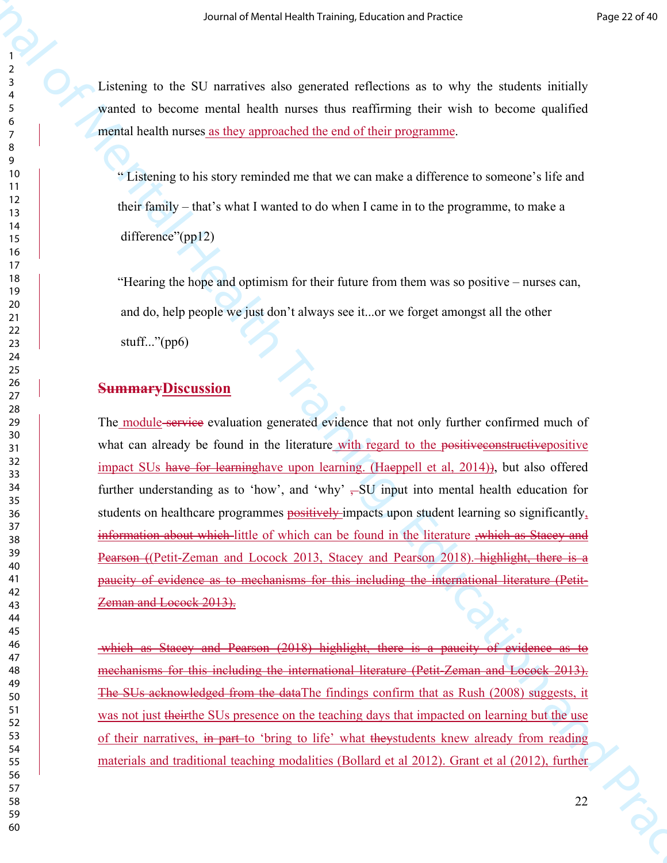Listening to the SU narratives also generated reflections as to why the students initially wanted to become mental health nurses thus reaffirming their wish to become qualified mental health nurses as they approached the end of their programme.

" Listening to his story reminded me that we can make a difference to someone's life and their family – that's what I wanted to do when I came in to the programme, to make a difference"(pp12)

"Hearing the hope and optimism for their future from them was so positive – nurses can, and do, help people we just don't always see it...or we forget amongst all the other stuff..." $(pp6)$ 

## **SummaryDiscussion**

Source of Mental Health Training Labendon and Packus (Packus Packus Packus Packus Packus Packus Packus (Packus Packus Packus Packus Packus Packus Packus Packus Packus Packus Packus Packus Packus Packus Packus Packus Packu The module-service evaluation generated evidence that not only further confirmed much of what can already be found in the literature with regard to the positive espectructive positive impact SUs have for learninghave upon learning. (Haeppell et al, 2014)), but also offered further understanding as to 'how', and 'why'  $-$ SU input into mental health education for students on healthcare programmes positively impacts upon student learning so significantly, information about which little of which can be found in the literature ,which as Stacey and Pearson ((Petit-Zeman and Locock 2013, Stacey and Pearson 2018). highlight, there is a paucity of evidence as to mechanisms for this including the international literature (Petit-Zeman and Locock 2013).

which as Stacey and Pearson (2018) highlight, there is a paucity of evidence as to mechanisms for this including the international literature (Petit-Zeman and Locock 2013). The SUs acknowledged from the dataThe findings confirm that as Rush (2008) suggests, it was not just their the SUs presence on the teaching days that impacted on learning but the use of their narratives, in part to 'bring to life' what theystudents knew already from reading materials and traditional teaching modalities (Bollard et al 2012). Grant et al (2012), further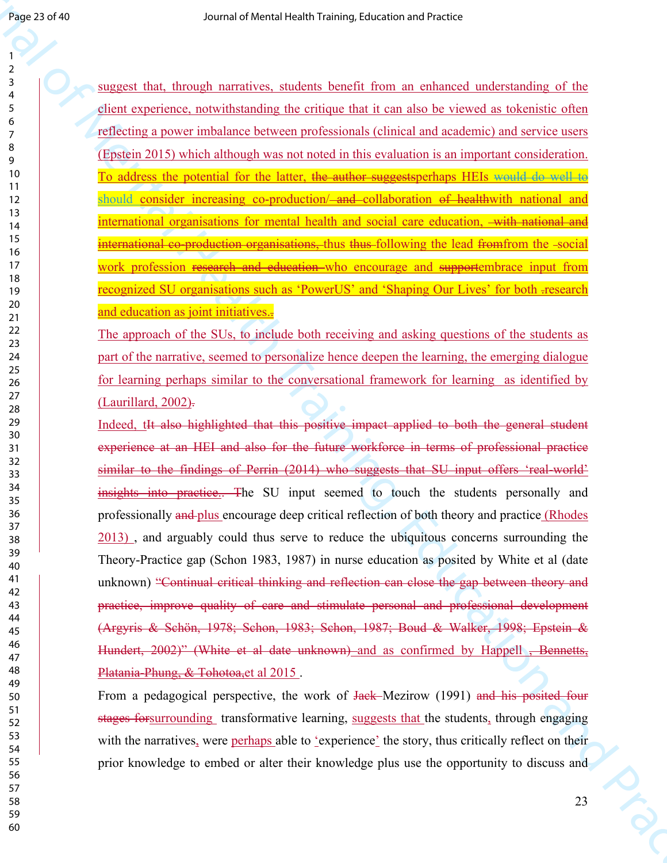suggest that, through narratives, students benefit from an enhanced understanding of the client experience, notwithstanding the critique that it can also be viewed as tokenistic often reflecting a power imbalance between professionals (clinical and academic) and service users (Epstein 2015) which although was not noted in this evaluation is an important consideration. To address the potential for the latter, the author suggestsperhaps HEIs would do well to should consider increasing co-production/<del>-and c</del>ollaboration of healthwith national and international organisations for mental health and social care education, with national and international co-production organisations, thus thus following the lead from from the -social work profession research and education who encourage and supportembrace input from recognized SU organisations such as 'PowerUS' and 'Shaping Our Lives' for both .research and education as joint initiatives..

The approach of the SUs, to include both receiving and asking questions of the students as part of the narrative, seemed to personalize hence deepen the learning, the emerging dialogue for learning perhaps similar to the conversational framework for learning as identified by (Laurillard, 2002).

See 33 et 50<br>
Sources fund through narratives sinclear benefit from an arbivaced independenting of the<br>
Journal of Context include the Mental Health Training is a strength of Mental Health Training<br>
Section and Practices Indeed, tIt also highlighted that this positive impact applied to both the general student experience at an HEI and also for the future workforce in terms of professional practice similar to the findings of Perrin (2014) who suggests that SU input offers 'real-world' insights into practice.. The SU input seemed to touch the students personally and professionally and plus encourage deep critical reflection of both theory and practice (Rhodes 2013) , and arguably could thus serve to reduce the ubiquitous concerns surrounding the Theory-Practice gap (Schon 1983, 1987) in nurse education as posited by White et al (date unknown) "Continual critical thinking and reflection can close the gap between theory and practice, improve quality of care and stimulate personal and professional development (Argyris & Schön, 1978; Schon, 1983; Schon, 1987; Boud & Walker, 1998; Epstein & Hundert, 2002)" (White et al date unknown) and as confirmed by Happell, Bennetts, Platania-Phung, & Tohotoa, et al 2015.

From a pedagogical perspective, the work of Jack–Mezirow (1991) and his posited four stages for surrounding transformative learning, suggests that the students, through engaging with the narratives, were perhaps able to 'experience' the story, thus critically reflect on their prior knowledge to embed or alter their knowledge plus use the opportunity to discuss and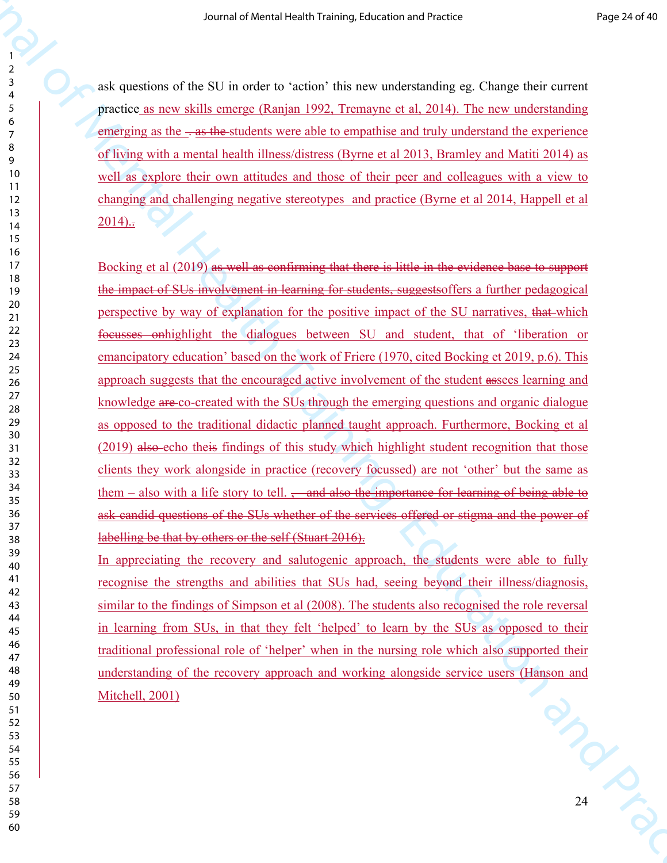ask questions of the SU in order to 'action' this new understanding eg. Change their current practice as new skills emerge (Ranjan 1992, Tremayne et al, 2014). The new understanding emerging as the  $\div$  as the students were able to empathise and truly understand the experience of living with a mental health illness/distress (Byrne et al 2013, Bramley and Matiti 2014) as well as explore their own attitudes and those of their peer and colleagues with a view to changing and challenging negative stereotypes and practice (Byrne et al 2014, Happell et al )...

Source of New York (42 The vector is a control of Mental Health Training (42 Change defect correspondent to the Source of Mental Health Training (42 Change defect correspondent to the Control of Mental Health Training and Bocking et al (2019) as well as confirming that there is little in the evidence base to support the impact of SUs involvement in learning for students, suggestsoffers a further pedagogical perspective by way of explanation for the positive impact of the SU narratives, that which focusses onhighlight the dialogues between SU and student, that of 'liberation or emancipatory education' based on the work of Friere (1970, cited Bocking et 2019, p.6). This approach suggests that the encouraged active involvement of the student assees learning and knowledge are co-created with the SUs through the emerging questions and organic dialogue as opposed to the traditional didactic planned taught approach. Furthermore, Bocking et al (2019) also echo theis findings of this study which highlight student recognition that those clients they work alongside in practice (recovery focussed) are not 'other' but the same as them – also with a life story to tell.  $\frac{1}{2}$  and also the importance for learning of being able to ask candid questions of the SUs whether of the services offered or stigma and the power of labelling be that by others or the self (Stuart 2016).

2 Miles In appreciating the recovery and salutogenic approach, the students were able to fully recognise the strengths and abilities that SUs had, seeing beyond their illness/diagnosis, similar to the findings of Simpson et al (2008). The students also recognised the role reversal in learning from SUs, in that they felt 'helped' to learn by the SUs as opposed to their traditional professional role of 'helper' when in the nursing role which also supported their understanding of the recovery approach and working alongside service users (Hanson and Mitchell, 2001)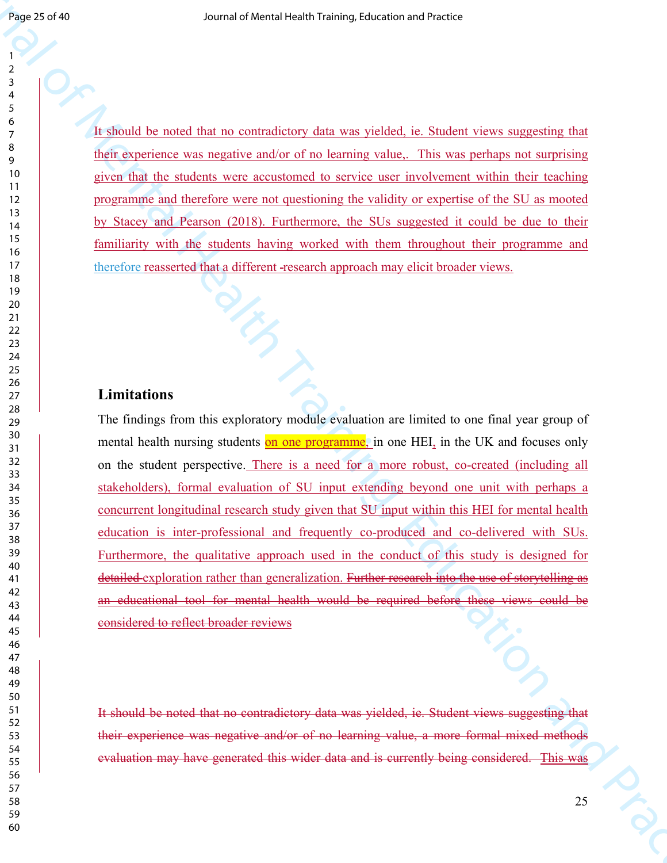It should be noted that no contradictory data was yielded, ie. Student views suggesting that their experience was negative and/or of no learning value,. This was perhaps not surprising given that the students were accustomed to service user involvement within their teaching programme and therefore were not questioning the validity or expertise of the SU as mooted by Stacey and Pearson (2018). Furthermore, the SUs suggested it could be due to their familiarity with the students having worked with them throughout their programme and therefore reasserted that a different research approach may elicit broader views.

## **Limitations**

**Franchise and Mental Health Training and Mental Health Training and Association and Association and Association and Association and Association and Training Training and Training Training Training Training training the m** The findings from this exploratory module evaluation are limited to one final year group of mental health nursing students on one programme, in one HEI, in the UK and focuses only on the student perspective. There is a need for a more robust, co-created (including all stakeholders), formal evaluation of SU input extending beyond one unit with perhaps a concurrent longitudinal research study given that SU input within this HEI for mental health education is inter-professional and frequently co-produced and co-delivered with SUs. Furthermore, the qualitative approach used in the conduct of this study is designed for detailed exploration rather than generalization. Further research into the use of storytelling as an educational tool for mental health would be required before these views could be considered to reflect broader reviews

It should be noted that no contradictory data was yielded, ie. Student views suggesting that their experience was negative and/or of no learning value, a more formal mixed methods evaluation may have generated this wider data and is currently being considered. This was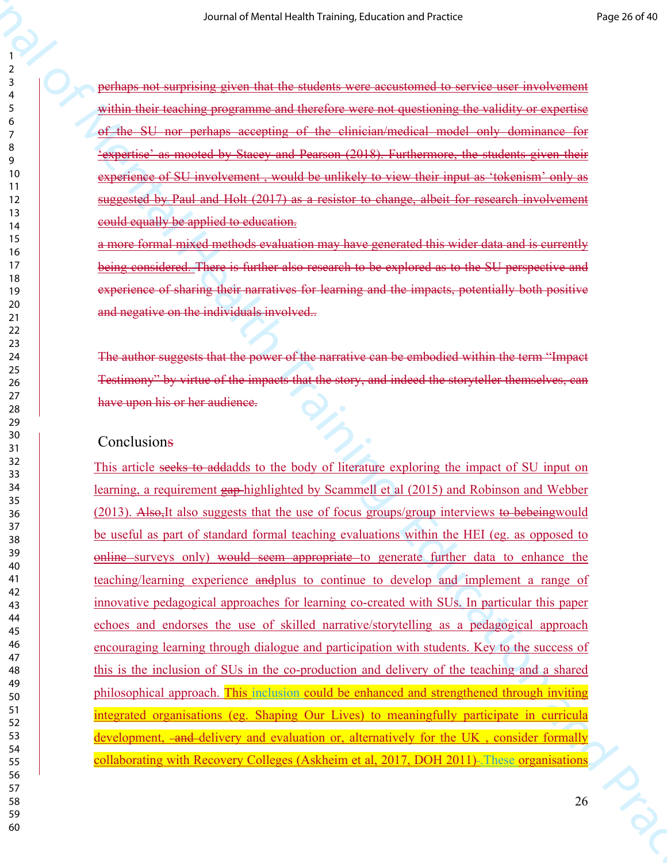perhaps not surprising given that the students were accustomed to service user involvement within their teaching programme and therefore were not questioning the validity or expertise of the SU nor perhaps accepting of the clinician/medical model only dominance for 'expertise' as mooted by Stacey and Pearson (2018). Furthermore, the students given their experience of SU involvement , would be unlikely to view their input as 'tokenism' only as suggested by Paul and Holt (2017) as a resistor to change, albeit for research involvement could equally be applied to education.

a more formal mixed methods evaluation may have generated this wider data and is currently being considered. There is further also research to be explored as to the SU perspective and experience of sharing their narratives for learning and the impacts, potentially both positive and negative on the individuals involved..

The author suggests that the power of the narrative can be embodied within the term "Impact Testimony" by virtue of the impacts that the story, and indeed the storyteller themselves, can have upon his or her audience.

## **Conclusions**

So an at Versis (exch) is the main of Mental Health Training, the main of the main of the main of the main of the main of the main of the main of the main of the main of the main of the main of the main of the main of the This article seeks to addadds to the body of literature exploring the impact of SU input on learning, a requirement gap highlighted by Scammell et al (2015) and Robinson and Webber (2013). Also,It also suggests that the use of focus groups/group interviews to bebeingwould be useful as part of standard formal teaching evaluations within the HEI (eg. as opposed to online surveys only) would seem appropriate to generate further data to enhance the teaching/learning experience andplus to continue to develop and implement a range of innovative pedagogical approaches for learning co-created with SUs. In particular this paper echoes and endorses the use of skilled narrative/storytelling as a pedagogical approach encouraging learning through dialogue and participation with students. Key to the success of this is the inclusion of SUs in the co-production and delivery of the teaching and a shared philosophical approach. This inclusion could be enhanced and strengthened through inviting integrated organisations (eg. Shaping Our Lives) to meaningfully participate in curricula development, -and-delivery and evaluation or, alternatively for the UK, consider formally collaborating with Recovery Colleges (Askheim et al, 2017, DOH 2011)- These organisations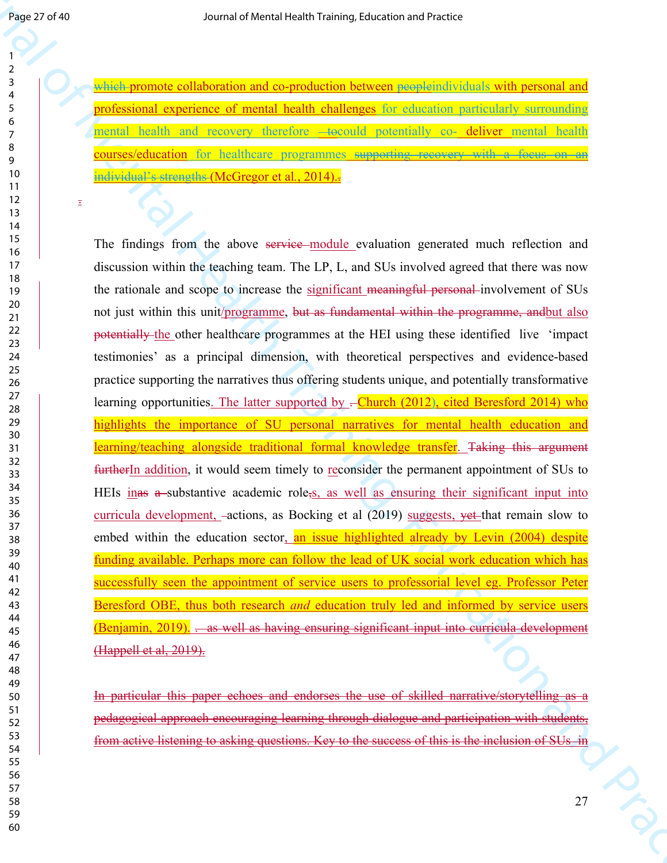$\Xi$ 

which promote collaboration and co-production between peopleindividuals with personal and professional experience of mental health challenges for education particularly surrounding mental health and recovery therefore -tocould potentially co- deliver mental health courses/education for healthcare programmes supporting recovery with a focus on an individual's strengths (McGregor et al*.*, 2014)..

**FARE 77 (19)** So The Mental of Mental Mental Mental Mental Mental (a) the Mental Mental Mental Mental Schedule 1<br>  $\frac{1}{2}$  (a)  $\frac{1}{2}$  (a)  $\frac{1}{2}$  (a)  $\frac{1}{2}$  (a)  $\frac{1}{2}$  (a)  $\frac{1}{2}$  (a)  $\frac{1}{2}$  (b)  $\frac{1}{2}$ The findings from the above service module evaluation generated much reflection and discussion within the teaching team. The LP, L, and SUs involved agreed that there was now the rationale and scope to increase the significant meaningful personal involvement of SUs not just within this unit/programme, but as fundamental within the programme, and but also potentially the other healthcare programmes at the HEI using these identified live 'impact testimonies' as a principal dimension, with theoretical perspectives and evidence-based practice supporting the narratives thus offering students unique, and potentially transformative learning opportunities. The latter supported by  $-C$ hurch (2012), cited Beresford 2014) who highlights the importance of SU personal narratives for mental health education and learning/teaching alongside traditional formal knowledge transfer. Taking this argument furtherIn addition, it would seem timely to reconsider the permanent appointment of SUs to HEIs inas a substantive academic role, s, as well as ensuring their significant input into curricula development,  $-\text{actions}$ , as Bocking et al (2019) suggests,  $\text{vet}$ -that remain slow to embed within the education sector, an issue highlighted already by Levin (2004) despite funding available. Perhaps more can follow the lead of UK social work education which has successfully seen the appointment of service users to professorial level eg. Professor Peter Beresford OBE, thus both research *and* education truly led and informed by service users (Benjamin, 2019). . as well as having ensuring significant input into curricula development (Happell et al, 2019).

In particular this paper echoes and endorses the use of skilled narrative/storytelling as a pedagogical approach encouraging learning through dialogue and participation with students, from active listening to asking questions. Key to the success of this is the inclusion of SUs in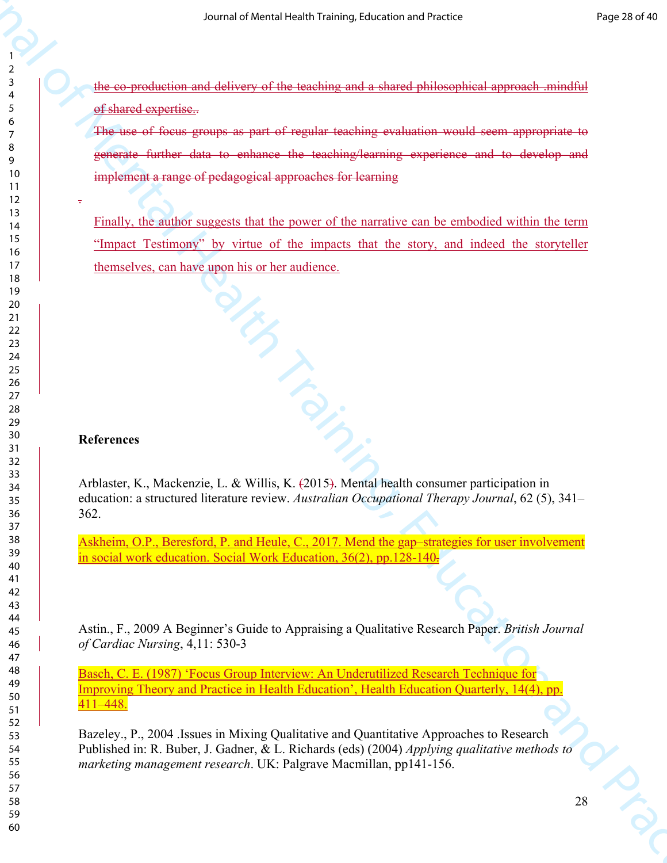the co-production and delivery of the teaching and a shared philosophical approach .mindful of shared expertise..

The use of focus groups as part of regular teaching evaluation would seem appropriate to generate further data to enhance the teaching/learning experience and to develop and implement a range of pedagogical approaches for learning

So an af Vorsch vice in raining Labandon and American control of Mental Health Training (American Mental Health Training)<br>
The composition and control of the Mental Health Training exposures and to develop and<br>  $\phi$  and t Finally, the author suggests that the power of the narrative can be embodied within the term "Impact Testimony" by virtue of the impacts that the story, and indeed the storyteller themselves, can have upon his or her audience.

## **References**

.

References<br>Arblaster, K., Mackenzie, L. & Willis, K. (2015). Mental health consumer participation in education: a structured literature review. *Australian Occupational Therapy Journal*, 62 (5), 341– 362.

Askheim, O.P., Beresford, P. and Heule, C., 2017. Mend the gap–strategies for user involvement in social work education. Social Work Education, 36(2), pp.128-140.

Astin., F., 2009 A Beginner's Guide to Appraising a Qualitative Research Paper. *British Journal of Cardiac Nursing*, 4,11: 530-3

Basch, C. E. (1987) 'Focus Group Interview: An Underutilized Research Technique for Improving Theory and Practice in Health Education', Health Education Quarterly, 14(4), pp. 411–448.

Bazeley., P., 2004 .Issues in Mixing Qualitative and Quantitative Approaches to Research Published in: R. Buber, J. Gadner, & L. Richards (eds) (2004) *Applying qualitative methods to marketing management research*. UK: Palgrave Macmillan, pp141-156.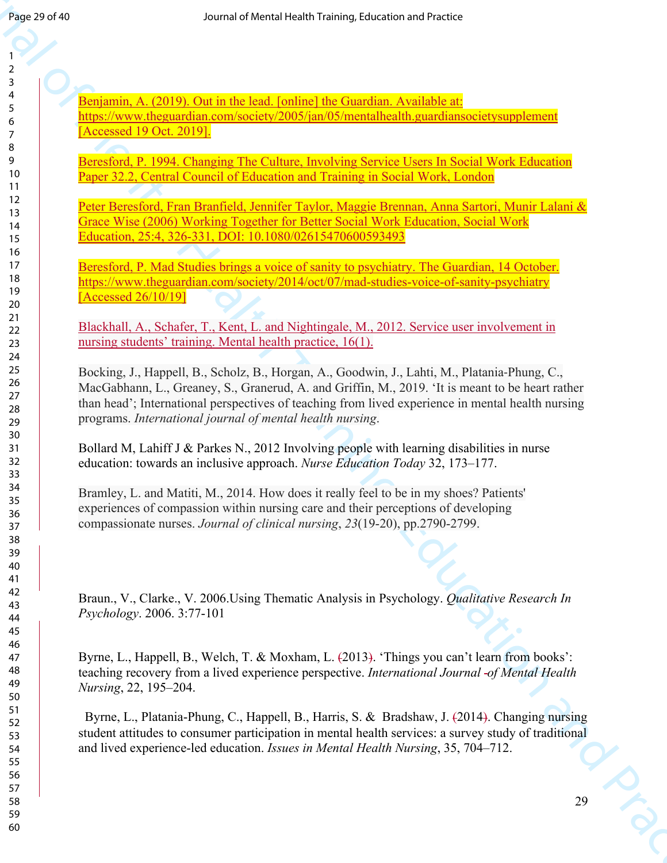Benjamin, A. (2019). Out in the lead. [online] the Guardian. Available at: https://www.theguardian.com/society/2005/jan/05/mentalhealth.guardiansocietysupplement [Accessed 19 Oct. 2019].

Beresford, P. 1994. Changing The Culture, Involving Service Users In Social Work Education Paper 32.2, Central Council of Education and Training in Social Work, London

Peter Beresford, Fran Branfield, Jennifer Taylor, Maggie Brennan, Anna Sartori, Munir Lalani & Grace Wise (2006) Working Together for Better Social Work Education, Social Work Education, 25:4, 326-331, DOI: 10.1080/02615470600593493

Beresford, P. Mad Studies brings a voice of sanity to psychiatry. The Guardian, 14 October. https://www.theguardian.com/society/2014/oct/07/mad-studies-voice-of-sanity-psychiatry [Accessed 26/10/19]

Blackhall, A., Schafer, T., Kent, L. and Nightingale, M., 2012. Service user involvement in nursing students' training. Mental health practice, 16(1).

**From 20 dFs)**<br>
Journal of Mental A. ADMO, Curt in the Kalifornia de Louisian Assimilate accomplement<br>
2. **Structure A. ADMO, Curt in the Kalifornia Constraint A. Administrative complement<br>
2. Advanced ODMO, 2001 in the K** Bocking, J., Happell, B., Scholz, B., Horgan, A., Goodwin, J., Lahti, M., Platania‐Phung, C., MacGabhann, L., Greaney, S., Granerud, A. and Griffin, M., 2019. 'It is meant to be heart rather than head'; International perspectives of teaching from lived experience in mental health nursing programs. *International journal of mental health nursing*.

Bollard M, Lahiff J & Parkes N., 2012 Involving people with learning disabilities in nurse education: towards an inclusive approach. *Nurse Education Today* 32, 173–177.

Bramley, L. and Matiti, M., 2014. How does it really feel to be in my shoes? Patients' experiences of compassion within nursing care and their perceptions of developing compassionate nurses. *Journal of clinical nursing*, *23*(19-20), pp.2790-2799.

Braun., V., Clarke., V. 2006.Using Thematic Analysis in Psychology. *Qualitative Research In Psychology*. 2006. 3:77-101

Byrne, L., Happell, B., Welch, T. & Moxham, L. (2013). 'Things you can't learn from books': teaching recovery from a lived experience perspective. *International Journal of Mental Health Nursing*, 22, 195–204.

Byrne, L., Platania-Phung, C., Happell, B., Harris, S. & Bradshaw, J. (2014). Changing nursing student attitudes to consumer participation in mental health services: a survey study of traditional and lived experience-led education. *Issues in Mental Health Nursing*, 35, 704–712.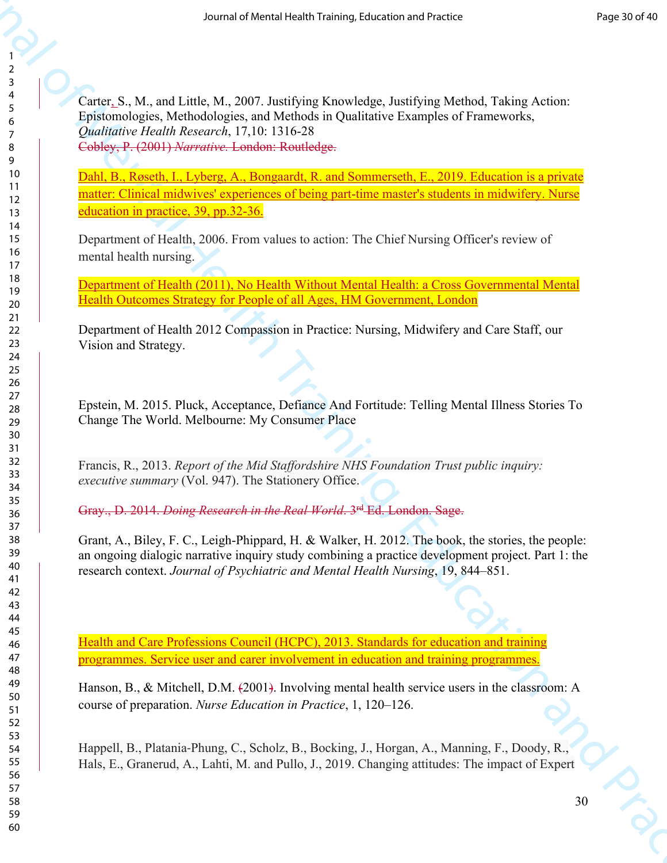Source of New Agriculture is the Media Health Training in Text of Alemany and the Secondary Control of Training Control of Training Control of Training Control of Training Control of Training Control of Training Control o Carter, S., M., and Little, M., 2007. Justifying Knowledge, Justifying Method, Taking Action: Epistomologies, Methodologies, and Methods in Qualitative Examples of Frameworks, *Qualitative Health Research*, 17,10: 1316-28 Cobley, P. (2001) *Narrative.* London: Routledge.

Dahl, B., Røseth, I., Lyberg, A., Bongaardt, R. and Sommerseth, E., 2019. Education is a private matter: Clinical midwives' experiences of being part-time master's students in midwifery. Nurse education in practice, 39, pp.32-36.

Department of Health, 2006. From values to action: The Chief Nursing Officer's review of mental health nursing.

Department of Health (2011), No Health Without Mental Health: a Cross Governmental Mental Health Outcomes Strategy for People of all Ages, HM Government, London

Department of Health 2012 Compassion in Practice: Nursing, Midwifery and Care Staff, our Vision and Strategy.

Epstein, M. 2015. Pluck, Acceptance, Defiance And Fortitude: Telling Mental Illness Stories To Change The World. Melbourne: My Consumer Place

Francis, R., 2013. *Report of the Mid Staffordshire NHS Foundation Trust public inquiry: executive summary* (Vol. 947). The Stationery Office.

Gray., D. 2014. *Doing Research in the Real World*. 3rd Ed. London. Sage.

Grant, A., Biley, F. C., Leigh-Phippard, H. & Walker, H. 2012. The book, the stories, the people: an ongoing dialogic narrative inquiry study combining a practice development project. Part 1: the research context. *Journal of Psychiatric and Mental Health Nursing*, 19, 844–851.

Health and Care Professions Council (HCPC), 2013. Standards for education and training programmes. Service user and carer involvement in education and training programmes.

Hanson, B., & Mitchell, D.M. (2001). Involving mental health service users in the classroom: A course of preparation. *Nurse Education in Practice*, 1, 120–126.

Happell, B., Platania‐Phung, C., Scholz, B., Bocking, J., Horgan, A., Manning, F., Doody, R., Hals, E., Granerud, A., Lahti, M. and Pullo, J., 2019. Changing attitudes: The impact of Expert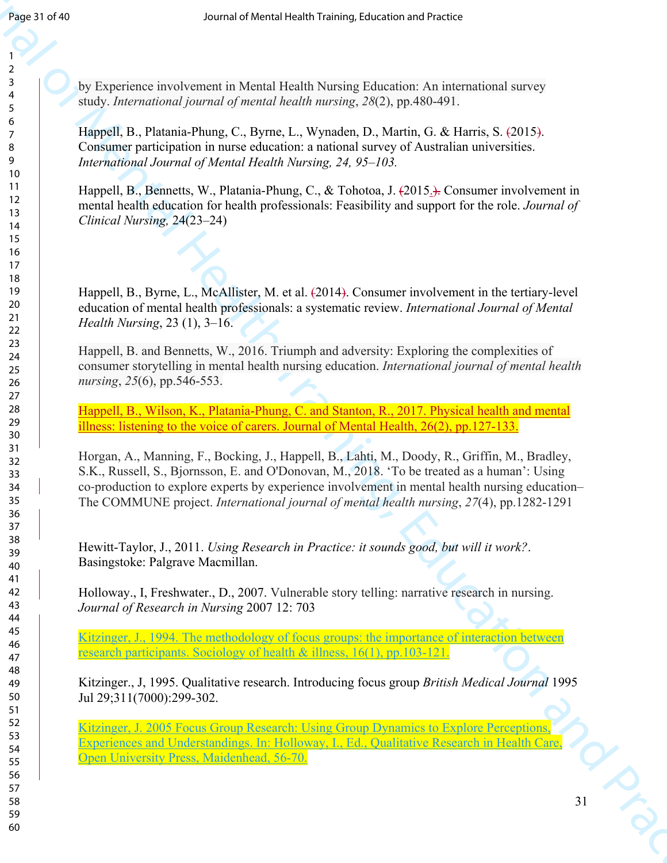by Experience involvement in Mental Health Nursing Education: An international survey study. *International journal of mental health nursing*, *28*(2), pp.480-491.

Happell, B., Platania-Phung, C., Byrne, L., Wynaden, D., Martin, G. & Harris, S. (2015). Consumer participation in nurse education: a national survey of Australian universities. *International Journal of Mental Health Nursing, 24, 95–103.* 

Happell, B., Bennetts, W., Platania-Phung, C., & Tohotoa, J. (2015.). Consumer involvement in mental health education for health professionals: Feasibility and support for the role. *Journal of Clinical Nursing,* 24(23–24)

Happell, B., Byrne, L., McAllister, M. et al. (2014). Consumer involvement in the tertiary-level education of mental health professionals: a systematic review. *International Journal of Mental Health Nursing*, 23 (1), 3–16.

Happell, B. and Bennetts, W., 2016. Triumph and adversity: Exploring the complexities of consumer storytelling in mental health nursing education. *International journal of mental health nursing*, *25*(6), pp.546-553.

Happell, B., Wilson, K., Platania-Phung, C. and Stanton, R., 2017. Physical health and mental illness: listening to the voice of carers. Journal of Mental Health, 26(2), pp.127-133.

**Frace 31 dVs**<br> **Source and observed the Mental Health Number Education Are international annoyses of Mental Mental Health Number Education Are international annoyses of Mental Mental Health Training, Education and Practi** Horgan, A., Manning, F., Bocking, J., Happell, B., Lahti, M., Doody, R., Griffin, M., Bradley, S.K., Russell, S., Bjornsson, E. and O'Donovan, M., 2018. 'To be treated as a human': Using co‐production to explore experts by experience involvement in mental health nursing education– The COMMUNE project. *International journal of mental health nursing*, *27*(4), pp.1282-1291

Hewitt-Taylor, J., 2011. *Using Research in Practice: it sounds good, but will it work?*. Basingstoke: Palgrave Macmillan.

Holloway., I, Freshwater., D., 2007. Vulnerable story telling: narrative research in nursing. *Journal of Research in Nursing* 2007 12: 703

Kitzinger, J., 1994. The methodology of focus groups: the importance of interaction between research participants. Sociology of health & illness, 16(1), pp.103-121.

Kitzinger., J, 1995. Qualitative research. Introducing focus group *British Medical Journal* 1995 Jul 29;311(7000):299-302.

Kitzinger, J. 2005 Focus Group Research: Using Group Dynamics to Explore Perceptions, Experiences and Understandings. In: Holloway, I., Ed., Qualitative Research in Health Care, Open University Press, Maidenhead, 56-70.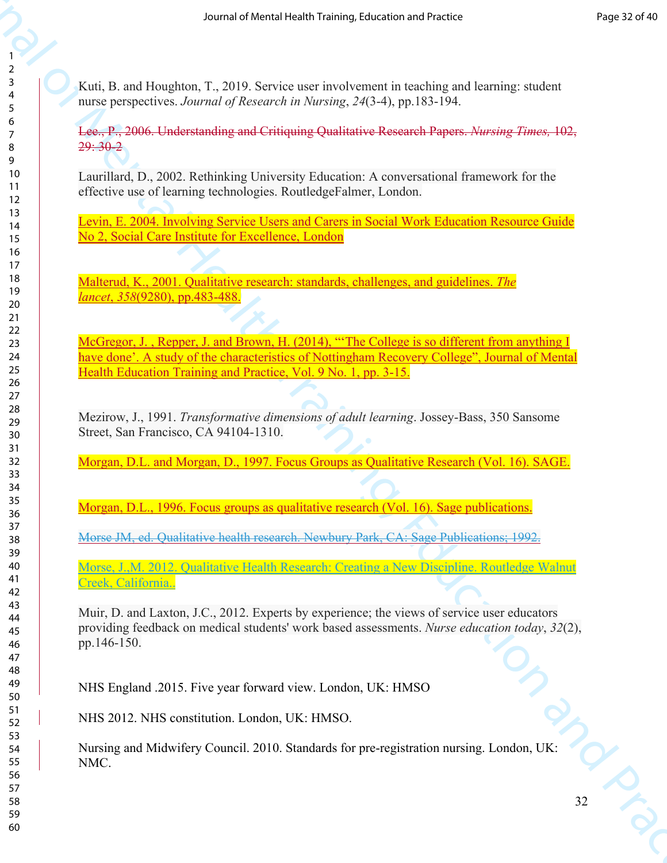Kuti, B. and Houghton, T., 2019. Service user involvement in teaching and learning: student nurse perspectives. *Journal of Research in Nursing*, *24*(3-4), pp.183-194.

Lee., P., 2006. Understanding and Critiquing Qualitative Research Papers. *Nursing Times,* 102,  $29:30-2$ 

Laurillard, D., 2002. Rethinking University Education: A conversational framework for the effective use of learning technologies. RoutledgeFalmer, London.

Levin, E. 2004. Involving Service Users and Carers in Social Work Education Resource Guide No 2, Social Care Institute for Excellence, London

Malterud, K., 2001. Qualitative research: standards, challenges, and guidelines. *The lancet*, *358*(9280), pp.483-488.

McGregor, J., Repper, J. and Brown, H. (2014), "The College is so different from anything I have done'. A study of the characteristics of Nottingham Recovery College", Journal of Mental Health Education Training and Practice, Vol. 9 No. 1, pp. 3-15.

Mezirow, J., 1991. *Transformative dimensions of adult learning*. Jossey-Bass, 350 Sansome Street, San Francisco, CA 94104-1310.

Morgan, D.L. and Morgan, D., 1997. Focus Groups as Qualitative Research (Vol. 16). SAGE.

Morgan, D.L., 1996. Focus groups as qualitative research (Vol. 16). Sage publications.

Morse JM, ed. Qualitative health research. Newbury Park, CA: Sage Publications; 1992.

Morse, J.,M. 2012. Qualitative Health Research: Creating a New Discipline. Routledge Walnut Creek, California..

So an arbitred veschi internet is canding and learning the state is an arbitrary condensation of the main of the state of Mental Health Training, The Condensation and Practice Condensation and Practice Condensation and Pr Muir, D. and Laxton, J.C., 2012. Experts by experience; the views of service user educators providing feedback on medical students' work based assessments. *Nurse education today*, *32*(2), pp.146-150.

NHS England .2015. Five year forward view. London, UK: HMSO

NHS 2012. NHS constitution. London, UK: HMSO.

Nursing and Midwifery Council. 2010. Standards for pre-registration nursing. London, UK: NMC.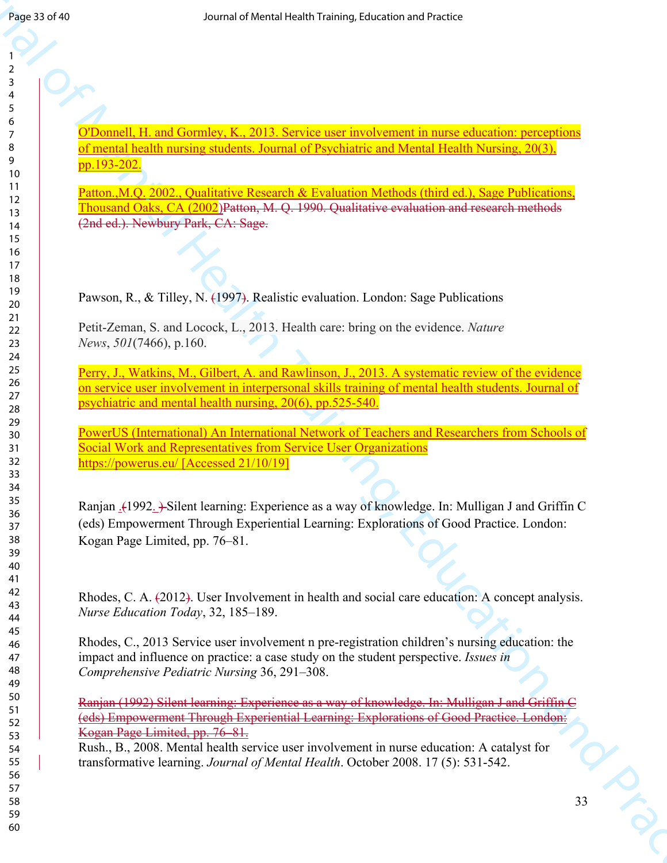O'Donnell, H. and Gormley, K., 2013. Service user involvement in nurse education: perceptions of mental health nursing students. Journal of Psychiatric and Mental Health Nursing, 20(3), pp.193-202.

Patton., M.Q. 2002., Qualitative Research & Evaluation Methods (third ed.), Sage Publications, Thousand Oaks, CA (2002)Patton, M. Q. 1990. Qualitative evaluation and research methods (2nd ed.). Newbury Park, CA: Sage.

Pawson, R., & Tilley, N. (1997). Realistic evaluation. London: Sage Publications

Petit-Zeman, S. and Locock, L., 2013. Health care: bring on the evidence. *Nature News*, *501*(7466), p.160.

Perry, J., Watkins, M., Gilbert, A. and Rawlinson, J., 2013. A systematic review of the evidence on service user involvement in interpersonal skills training of mental health students. Journal of psychiatric and mental health nursing, 20(6), pp.525-540.

PowerUS (International) An International Network of Teachers and Researchers from Schools of Social Work and Representatives from Service User Organizations https://powerus.eu/ [Accessed 21/10/19]

**From 20 dFs**<br> **Box 20 dFs**<br> **Box 20 dF and Courtles, K., 2013.** Newton the mode mode metric more indication procession<br> **OF and Journal All metrics of Mental Health Training, The Courtles of Mental Health Training, 2003<br>** Ranjan .(1992. ) Silent learning: Experience as a way of knowledge. In: Mulligan J and Griffin C (eds) Empowerment Through Experiential Learning: Explorations of Good Practice. London: Kogan Page Limited, pp. 76–81.

Rhodes, C. A. (2012). User Involvement in health and social care education: A concept analysis. *Nurse Education Today*, 32, 185–189.

Rhodes, C., 2013 Service user involvement n pre-registration children's nursing education: the impact and influence on practice: a case study on the student perspective. *Issues in Comprehensive Pediatric Nursing* 36, 291–308.

Ranjan (1992) Silent learning: Experience as a way of knowledge. In: Mulligan J and Griffin C (eds) Empowerment Through Experiential Learning: Explorations of Good Practice. London: Kogan Page Limited, pp. 76–81.

Rush., B., 2008. Mental health service user involvement in nurse education: A catalyst for transformative learning. *Journal of Mental Health*. October 2008. 17 (5): 531-542.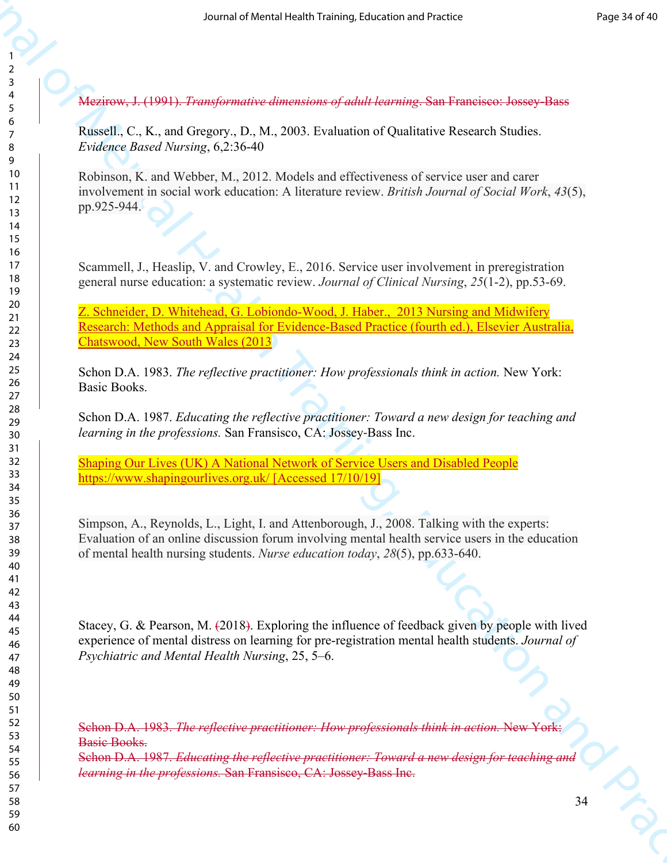Mezirow, J. (1991). *Transformative dimensions of adult learning*. San Francisco: Jossey-Bass

Russell., C., K., and Gregory., D., M., 2003. Evaluation of Qualitative Research Studies. *Evidence Based Nursing*, 6,2:36-40

Robinson, K. and Webber, M., 2012. Models and effectiveness of service user and carer involvement in social work education: A literature review. *British Journal of Social Work*, *43*(5), pp.925-944.

Scammell, J., Heaslip, V. and Crowley, E., 2016. Service user involvement in preregistration general nurse education: a systematic review. *Journal of Clinical Nursing*, *25*(1-2), pp.53-69.

Z. Schneider, D. Whitehead, G. Lobiondo-Wood, J. Haber., 2013 Nursing and Midwifery Research: Methods and Appraisal for Evidence-Based Practice (fourth ed.), Elsevier Australia, Chatswood, New South Wales (2013

Schon D.A. 1983. *The reflective practitioner: How professionals think in action*. New York: Basic Books.

Schon D.A. 1987. *Educating the reflective practitioner: Toward a new design for teaching and learning in the professions.* San Fransisco, CA: Jossey‐Bass Inc.

Shaping Our Lives (UK) A National Network of Service Users and Disabled People https://www.shapingourlives.org.uk/ [Accessed 17/10/19]

Simpson, A., Reynolds, L., Light, I. and Attenborough, J., 2008. Talking with the experts: Evaluation of an online discussion forum involving mental health service users in the education of mental health nursing students. *Nurse education today*, *28*(5), pp.633-640.

So an arbitrarial visitorial of the Mental Mental Scheme of the Mental Health Number 1988<br>
2. Advisoring, J. (1991). Transformation dimensions of adult hearing, San Francisco Joseph Fast<br>
2. The Mental C. C., and Copper, Stacey, G. & Pearson, M. (2018). Exploring the influence of feedback given by people with lived experience of mental distress on learning for pre-registration mental health students. *Journal of Psychiatric and Mental Health Nursing*, 25, 5–6.

Schon D.A. 1983. *The reflective practitioner: How professionals think in action.* New York: Basic Books.

Schon D.A. 1987. *Educating the reflective practitioner: Toward a new design for teaching and learning in the professions.* San Fransisco, CA: Jossey‐Bass Inc.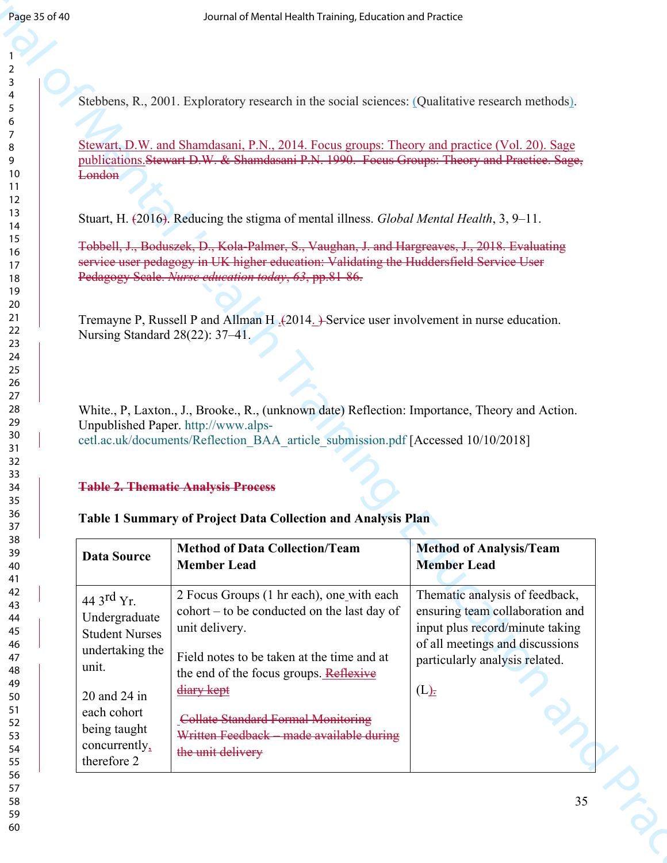## **Table 2. Thematic Analysis Process**

## **Table 1 Summary of Project Data Collection and Analysis Plan**

| Page 35 of 40 |                                          | Journal of Mental Health Training, Education and Practice                                                                                                                                                                 |                                                                          |
|---------------|------------------------------------------|---------------------------------------------------------------------------------------------------------------------------------------------------------------------------------------------------------------------------|--------------------------------------------------------------------------|
|               |                                          |                                                                                                                                                                                                                           |                                                                          |
|               |                                          | Stebbens, R., 2001. Exploratory research in the social sciences: (Qualitative research methods).                                                                                                                          |                                                                          |
|               |                                          |                                                                                                                                                                                                                           |                                                                          |
|               | London                                   | Stewart, D.W. and Shamdasani, P.N., 2014. Focus groups: Theory and practice (Vol. 20). Sage<br>publications Stewart D.W. & Shamdasani P.N. 1990. Focus Groups: Theory and Practice. Sage,                                 |                                                                          |
|               |                                          |                                                                                                                                                                                                                           |                                                                          |
|               |                                          | Stuart, H. (2016). Reducing the stigma of mental illness. Global Mental Health, 3, 9–11.                                                                                                                                  |                                                                          |
|               |                                          | Tobbell, J., Boduszek, D., Kola-Palmer, S., Vaughan, J. and Hargreaves, J., 2018. Evaluating<br>service user pedagogy in UK higher education: Validating the Huddersfield Service User                                    |                                                                          |
|               |                                          | Pedagogy Scale. Nurse education today, 63, pp.81-86.                                                                                                                                                                      |                                                                          |
|               | Nursing Standard 28(22): 37-41.          | Tremayne P, Russell P and Allman H <sub>2</sub> (2014 <sub>-</sub> )-Service user involvement in nurse education.                                                                                                         |                                                                          |
|               |                                          | White., P, Laxton., J., Brooke., R., (unknown date) Reflection: Importance, Theory and Action.<br>Unpublished Paper. http://www.alps-<br>cetl.ac.uk/documents/Reflection_BAA_article_submission.pdf [Accessed 10/10/2018] |                                                                          |
|               |                                          | <b>Table 2. Thematic Analysis Process</b><br>Table 1 Summary of Project Data Collection and Analysis Plan                                                                                                                 |                                                                          |
|               | <b>Data Source</b>                       | <b>Method of Data Collection/Team</b><br><b>Member Lead</b>                                                                                                                                                               | <b>Method of Analysis/Team</b><br><b>Member Lead</b>                     |
|               | 44 3 <sup>rd</sup> Yr.                   | 2 Focus Groups (1 hr each), one with each                                                                                                                                                                                 | Thematic analysis of feedback,<br>ensuring team collaboration and        |
|               | Undergraduate<br><b>Student Nurses</b>   | cohort – to be conducted on the last day of<br>unit delivery.                                                                                                                                                             | input plus record/minute taking                                          |
|               | undertaking the<br>unit.<br>20 and 24 in | Field notes to be taken at the time and at<br>the end of the focus groups. Reflexive<br>diary kept                                                                                                                        | of all meetings and discussions<br>particularly analysis related.<br>(L) |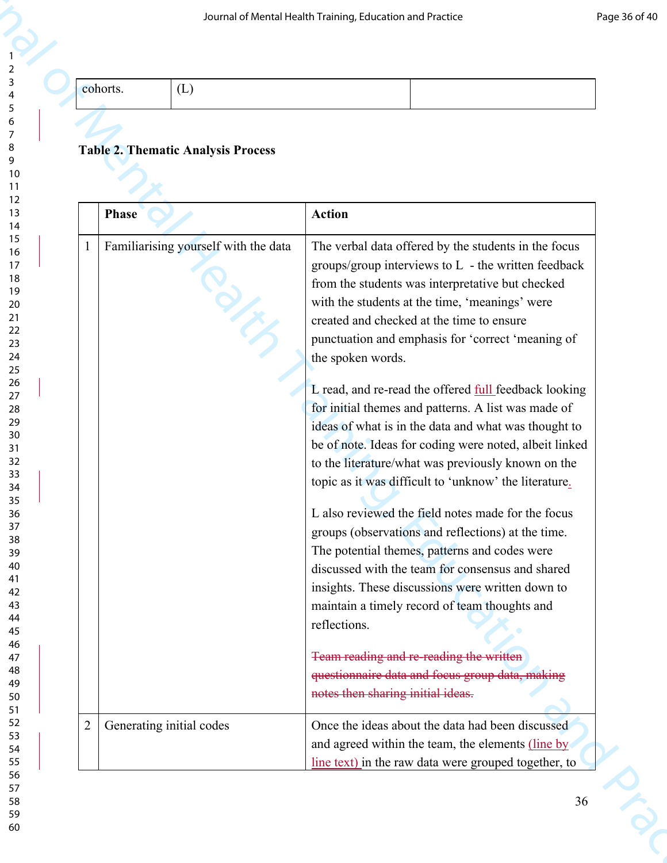|  | ∸ |  |
|--|---|--|
|  |   |  |

## **Table 2. Thematic Analysis Process**

|                |                          |                                           | Journal of Mental Health Training, Education and Practice |                                                                                                              | Page 36 of 40 |
|----------------|--------------------------|-------------------------------------------|-----------------------------------------------------------|--------------------------------------------------------------------------------------------------------------|---------------|
| cohorts.       |                          | (L)                                       |                                                           |                                                                                                              |               |
|                |                          |                                           |                                                           |                                                                                                              |               |
|                |                          |                                           |                                                           |                                                                                                              |               |
|                |                          | <b>Table 2. Thematic Analysis Process</b> |                                                           |                                                                                                              |               |
|                |                          |                                           |                                                           |                                                                                                              |               |
|                | <b>Phase</b>             |                                           | <b>Action</b>                                             |                                                                                                              |               |
|                |                          | Familiarising yourself with the data      |                                                           | The verbal data offered by the students in the focus                                                         |               |
|                |                          |                                           |                                                           | groups/group interviews to L - the written feedback                                                          |               |
|                |                          |                                           |                                                           | from the students was interpretative but checked                                                             |               |
|                |                          |                                           |                                                           | with the students at the time, 'meanings' were<br>created and checked at the time to ensure                  |               |
|                |                          |                                           |                                                           | punctuation and emphasis for 'correct 'meaning of                                                            |               |
|                |                          |                                           | the spoken words.                                         |                                                                                                              |               |
|                |                          |                                           |                                                           | L read, and re-read the offered full feedback looking                                                        |               |
|                |                          |                                           |                                                           | for initial themes and patterns. A list was made of                                                          |               |
|                |                          |                                           |                                                           | ideas of what is in the data and what was thought to                                                         |               |
|                |                          |                                           |                                                           | be of note. Ideas for coding were noted, albeit linked<br>to the literature/what was previously known on the |               |
|                |                          |                                           |                                                           | topic as it was difficult to 'unknow' the literature.                                                        |               |
|                |                          |                                           |                                                           | L also reviewed the field notes made for the focus                                                           |               |
|                |                          |                                           |                                                           | groups (observations and reflections) at the time.                                                           |               |
|                |                          |                                           |                                                           | The potential themes, patterns and codes were                                                                |               |
|                |                          |                                           |                                                           | discussed with the team for consensus and shared                                                             |               |
|                |                          |                                           |                                                           | insights. These discussions were written down to<br>maintain a timely record of team thoughts and            |               |
|                |                          |                                           | reflections.                                              |                                                                                                              |               |
|                |                          |                                           |                                                           | Team reading and re-reading the written                                                                      |               |
|                |                          |                                           |                                                           | questionnaire data and focus group data, making                                                              |               |
|                |                          |                                           | notes then sharing initial ideas.                         |                                                                                                              |               |
| $\overline{2}$ | Generating initial codes |                                           |                                                           | Once the ideas about the data had been discussed                                                             |               |
|                |                          |                                           |                                                           | and agreed within the team, the elements (line by                                                            |               |
|                |                          |                                           |                                                           | line text) in the raw data were grouped together, to                                                         |               |
|                |                          |                                           |                                                           | 36                                                                                                           |               |
|                |                          |                                           |                                                           |                                                                                                              |               |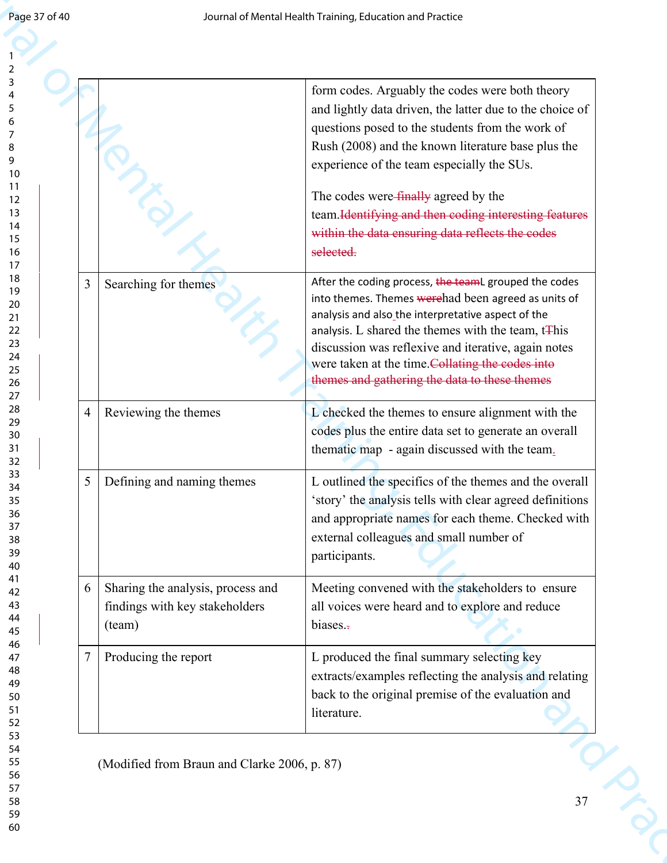| form codes. Arguably the codes were both theory<br>questions posed to the students from the work of<br>Rush (2008) and the known literature base plus the |
|-----------------------------------------------------------------------------------------------------------------------------------------------------------|
| and lightly data driven, the latter due to the choice of                                                                                                  |
|                                                                                                                                                           |
|                                                                                                                                                           |
|                                                                                                                                                           |
|                                                                                                                                                           |
|                                                                                                                                                           |
| team. Identifying and then coding interesting features                                                                                                    |
| within the data ensuring data reflects the codes                                                                                                          |
|                                                                                                                                                           |
| After the coding process, the teamL grouped the codes                                                                                                     |
| into themes. Themes werehad been agreed as units of                                                                                                       |
| analysis. L shared the themes with the team, t <sub>This</sub>                                                                                            |
| discussion was reflexive and iterative, again notes                                                                                                       |
| were taken at the time.Collating the codes into                                                                                                           |
| themes and gathering the data to these themes                                                                                                             |
| L checked the themes to ensure alignment with the                                                                                                         |
| codes plus the entire data set to generate an overall                                                                                                     |
| thematic map - again discussed with the team.                                                                                                             |
| L outlined the specifics of the themes and the overall                                                                                                    |
| 'story' the analysis tells with clear agreed definitions                                                                                                  |
| and appropriate names for each theme. Checked with                                                                                                        |
|                                                                                                                                                           |
|                                                                                                                                                           |
| Meeting convened with the stakeholders to ensure                                                                                                          |
| all voices were heard and to explore and reduce                                                                                                           |
|                                                                                                                                                           |
|                                                                                                                                                           |
| extracts/examples reflecting the analysis and relating                                                                                                    |
|                                                                                                                                                           |
| back to the original premise of the evaluation and                                                                                                        |
|                                                                                                                                                           |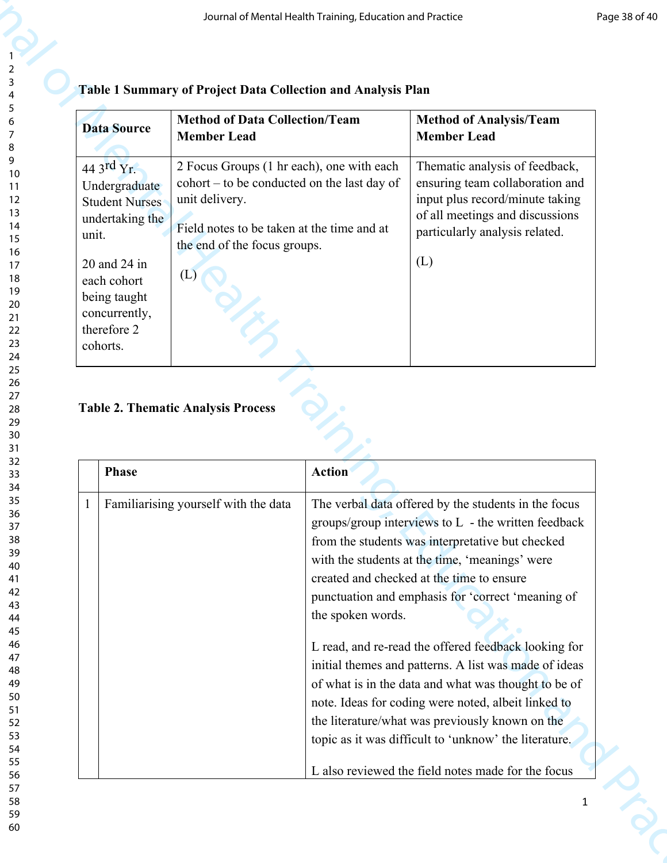| <b>Data Source</b>                                                                      | <b>Method of Data Collection/Team</b><br><b>Member Lead</b>                                                                                                                                              | <b>Method of Analysis/Team</b><br><b>Member Lead</b>                                                                                                                      |
|-----------------------------------------------------------------------------------------|----------------------------------------------------------------------------------------------------------------------------------------------------------------------------------------------------------|---------------------------------------------------------------------------------------------------------------------------------------------------------------------------|
| 44 3rd $Yr$ .<br>Undergraduate<br><b>Student Nurses</b><br>undertaking the<br>unit.     | 2 Focus Groups (1 hr each), one with each<br>$\text{cohort} - \text{to be conducted on the last day of}$<br>unit delivery.<br>Field notes to be taken at the time and at<br>the end of the focus groups. | Thematic analysis of feedback,<br>ensuring team collaboration and<br>input plus record/minute taking<br>of all meetings and discussions<br>particularly analysis related. |
| 20 and 24 in<br>each cohort<br>being taught<br>concurrently,<br>therefore 2<br>cohorts. | (L)                                                                                                                                                                                                      | (L)                                                                                                                                                                       |

# **Table 1 Summary of Project Data Collection and Analysis Plan**

## **Table 2. Thematic Analysis Process**

|       |                                                                                                                                                                       |                                                                                                                                                                                                 | Journal of Mental Health Training, Education and Practice |                                                                                                                                                                                                                                                                                                                                                                                                                                      |
|-------|-----------------------------------------------------------------------------------------------------------------------------------------------------------------------|-------------------------------------------------------------------------------------------------------------------------------------------------------------------------------------------------|-----------------------------------------------------------|--------------------------------------------------------------------------------------------------------------------------------------------------------------------------------------------------------------------------------------------------------------------------------------------------------------------------------------------------------------------------------------------------------------------------------------|
|       | <b>Data Source</b>                                                                                                                                                    | Table 1 Summary of Project Data Collection and Analysis Plan<br><b>Method of Data Collection/Team</b><br><b>Member Lead</b>                                                                     |                                                           | <b>Method of Analysis/Team</b><br><b>Member Lead</b>                                                                                                                                                                                                                                                                                                                                                                                 |
| unit. | 44 3rd $Yr$ .<br>Undergraduate<br><b>Student Nurses</b><br>undertaking the<br>20 and 24 in<br>each cohort<br>being taught<br>concurrently,<br>therefore 2<br>cohorts. | 2 Focus Groups (1 hr each), one with each<br>cohort – to be conducted on the last day of<br>unit delivery.<br>Field notes to be taken at the time and at<br>the end of the focus groups.<br>(L) |                                                           | Thematic analysis of feedback,<br>ensuring team collaboration and<br>input plus record/minute taking<br>of all meetings and discussions<br>particularly analysis related.<br>(L)                                                                                                                                                                                                                                                     |
|       |                                                                                                                                                                       |                                                                                                                                                                                                 |                                                           |                                                                                                                                                                                                                                                                                                                                                                                                                                      |
|       | <b>Phase</b>                                                                                                                                                          | <b>Table 2. Thematic Analysis Process</b>                                                                                                                                                       | <b>Action</b>                                             |                                                                                                                                                                                                                                                                                                                                                                                                                                      |
|       |                                                                                                                                                                       | Familiarising yourself with the data                                                                                                                                                            | the spoken words.                                         | The verbal data offered by the students in the focus<br>groups/group interviews to L - the written feedback<br>from the students was interpretative but checked<br>with the students at the time, 'meanings' were<br>created and checked at the time to ensure<br>punctuation and emphasis for 'correct 'meaning of<br>L read, and re-read the offered feedback looking for<br>initial themes and patterns. A list was made of ideas |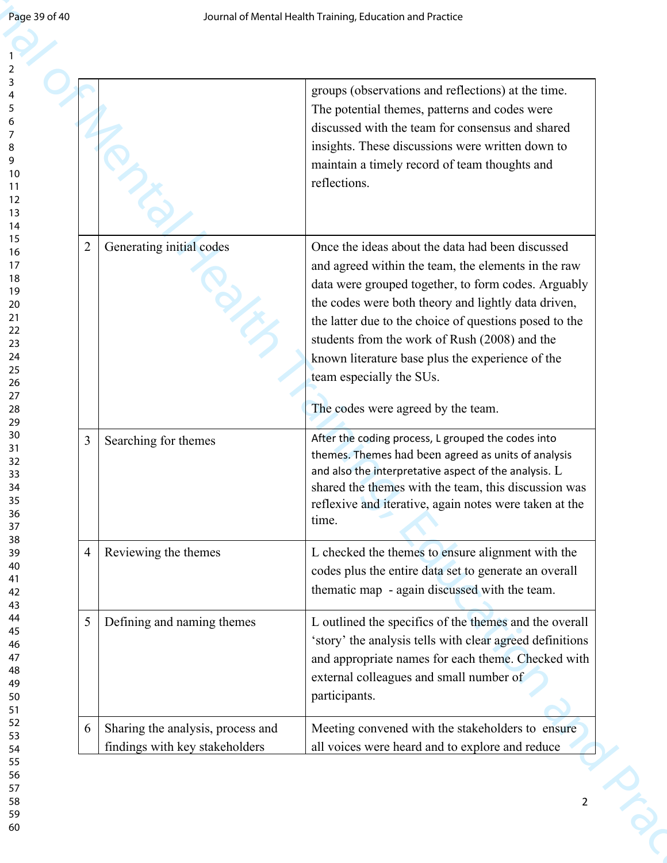|                |                                                                     | Journal of Mental Health Training, Education and Practice                                                                                                                                                                                                                                                                                                                                                                                              |
|----------------|---------------------------------------------------------------------|--------------------------------------------------------------------------------------------------------------------------------------------------------------------------------------------------------------------------------------------------------------------------------------------------------------------------------------------------------------------------------------------------------------------------------------------------------|
|                |                                                                     | groups (observations and reflections) at the time.<br>The potential themes, patterns and codes were<br>discussed with the team for consensus and shared<br>insights. These discussions were written down to<br>maintain a timely record of team thoughts and<br>reflections.                                                                                                                                                                           |
| $\overline{2}$ | Generating initial codes                                            | Once the ideas about the data had been discussed<br>and agreed within the team, the elements in the raw<br>data were grouped together, to form codes. Arguably<br>the codes were both theory and lightly data driven,<br>the latter due to the choice of questions posed to the<br>students from the work of Rush (2008) and the<br>known literature base plus the experience of the<br>team especially the SUs.<br>The codes were agreed by the team. |
| 3              | Searching for themes                                                | After the coding process, L grouped the codes into<br>themes. Themes had been agreed as units of analysis<br>and also the interpretative aspect of the analysis. L<br>shared the themes with the team, this discussion was<br>reflexive and iterative, again notes were taken at the<br>time.                                                                                                                                                          |
| 4              | Reviewing the themes                                                | L checked the themes to ensure alignment with the<br>codes plus the entire data set to generate an overall<br>thematic map - again discussed with the team.                                                                                                                                                                                                                                                                                            |
| 5              | Defining and naming themes                                          | L outlined the specifics of the themes and the overall<br>'story' the analysis tells with clear agreed definitions<br>and appropriate names for each theme. Checked with<br>external colleagues and small number of<br>participants.                                                                                                                                                                                                                   |
| 6              | Sharing the analysis, process and<br>findings with key stakeholders | Meeting convened with the stakeholders to ensure<br>all voices were heard and to explore and reduce                                                                                                                                                                                                                                                                                                                                                    |